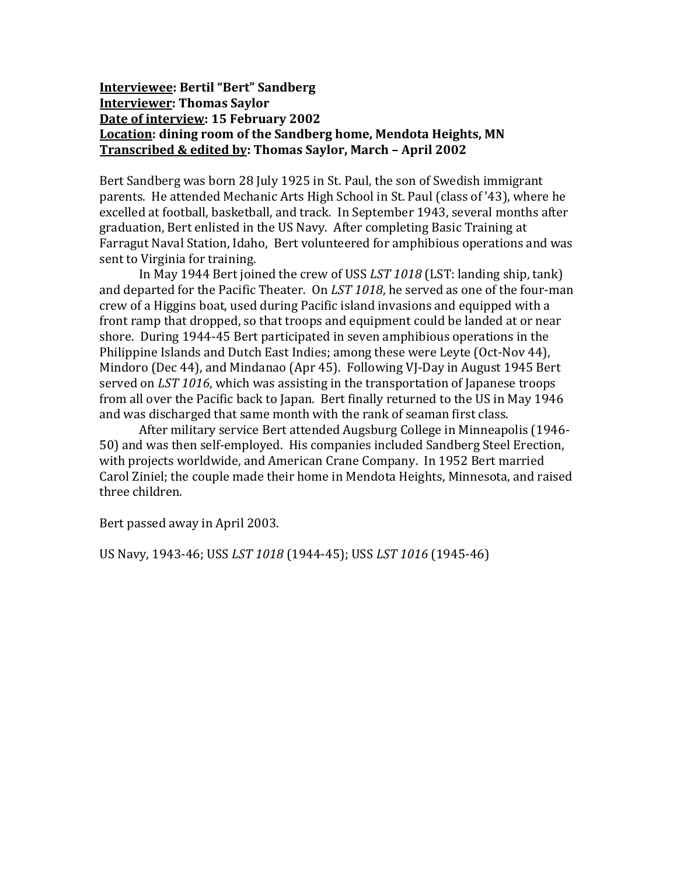#### **Interviewee: Bertil "Bert" Sandberg Interviewer: Thomas Saylor Date of interview: 15 February 2002 Location: dining room of the Sandberg home, Mendota Heights, MN Transcribed & edited by: Thomas Saylor, March – April 2002**

Bert Sandberg was born 28 July 1925 in St. Paul, the son of Swedish immigrant parents. He attended Mechanic Arts High School in St. Paul (class of '43), where he excelled at football, basketball, and track. In September 1943, several months after graduation, Bert enlisted in the US Navy. After completing Basic Training at Farragut Naval Station, Idaho, Bert volunteered for amphibious operations and was sent to Virginia for training.

In May 1944 Bert joined the crew of USS *LST 1018* (LST: landing ship, tank) and departed for the Pacific Theater. On *LST 1018*, he served as one of the four-man crew of a Higgins boat, used during Pacific island invasions and equipped with a front ramp that dropped, so that troops and equipment could be landed at or near shore. During 1944-45 Bert participated in seven amphibious operations in the Philippine Islands and Dutch East Indies; among these were Leyte (Oct-Nov 44), Mindoro (Dec 44), and Mindanao (Apr 45). Following VJ-Day in August 1945 Bert served on *LST 1016*, which was assisting in the transportation of Japanese troops from all over the Pacific back to Japan. Bert finally returned to the US in May 1946 and was discharged that same month with the rank of seaman first class.

After military service Bert attended Augsburg College in Minneapolis (1946- 50) and was then self-employed. His companies included Sandberg Steel Erection, with projects worldwide, and American Crane Company. In 1952 Bert married Carol Ziniel; the couple made their home in Mendota Heights, Minnesota, and raised three children.

Bert passed away in April 2003.

US Navy, 1943-46; USS *LST 1018* (1944-45); USS *LST 1016* (1945-46)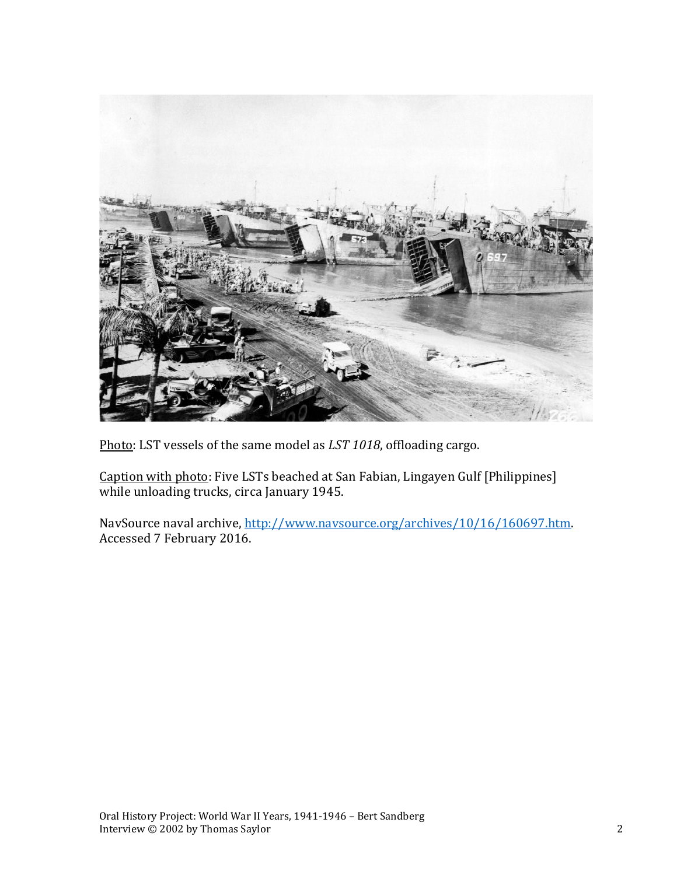

Photo: LST vessels of the same model as *LST 1018*, offloading cargo.

Caption with photo: Five LSTs beached at San Fabian, Lingayen Gulf [Philippines] while unloading trucks, circa January 1945.

NavSource naval archive, [http://www.navsource.org/archives/10/16/160697.htm.](http://www.navsource.org/archives/10/16/160697.htm) Accessed 7 February 2016.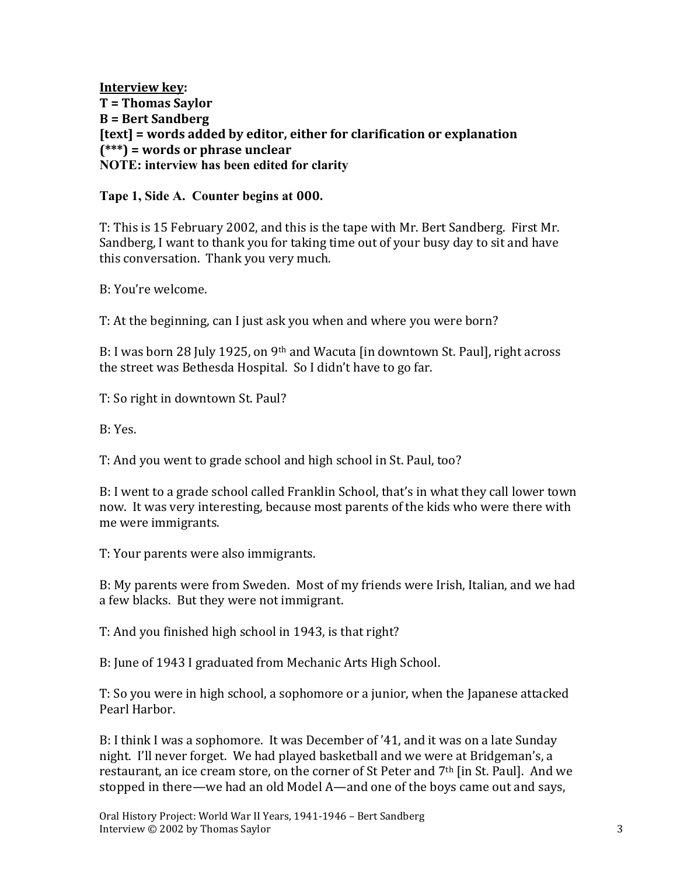**Interview key: T = Thomas Saylor B = Bert Sandberg [text] = words added by editor, either for clarification or explanation (\*\*\*) = words or phrase unclear NOTE: interview has been edited for clarity**

#### **Tape 1, Side A. Counter begins at 000.**

T: This is 15 February 2002, and this is the tape with Mr. Bert Sandberg. First Mr. Sandberg, I want to thank you for taking time out of your busy day to sit and have this conversation. Thank you very much.

B: You're welcome.

T: At the beginning, can I just ask you when and where you were born?

B: I was born 28 July 1925, on 9<sup>th</sup> and Wacuta [in downtown St. Paul], right across the street was Bethesda Hospital. So I didn't have to go far.

T: So right in downtown St. Paul?

B: Yes.

T: And you went to grade school and high school in St. Paul, too?

B: I went to a grade school called Franklin School, that's in what they call lower town now. It was very interesting, because most parents of the kids who were there with me were immigrants.

T: Your parents were also immigrants.

B: My parents were from Sweden. Most of my friends were Irish, Italian, and we had a few blacks. But they were not immigrant.

T: And you finished high school in 1943, is that right?

B: June of 1943 I graduated from Mechanic Arts High School.

T: So you were in high school, a sophomore or a junior, when the Japanese attacked Pearl Harbor.

B: I think I was a sophomore. It was December of '41, and it was on a late Sunday night. I'll never forget. We had played basketball and we were at Bridgeman's, a restaurant, an ice cream store, on the corner of St Peter and 7<sup>th</sup> [in St. Paul]. And we stopped in there—we had an old Model A—and one of the boys came out and says,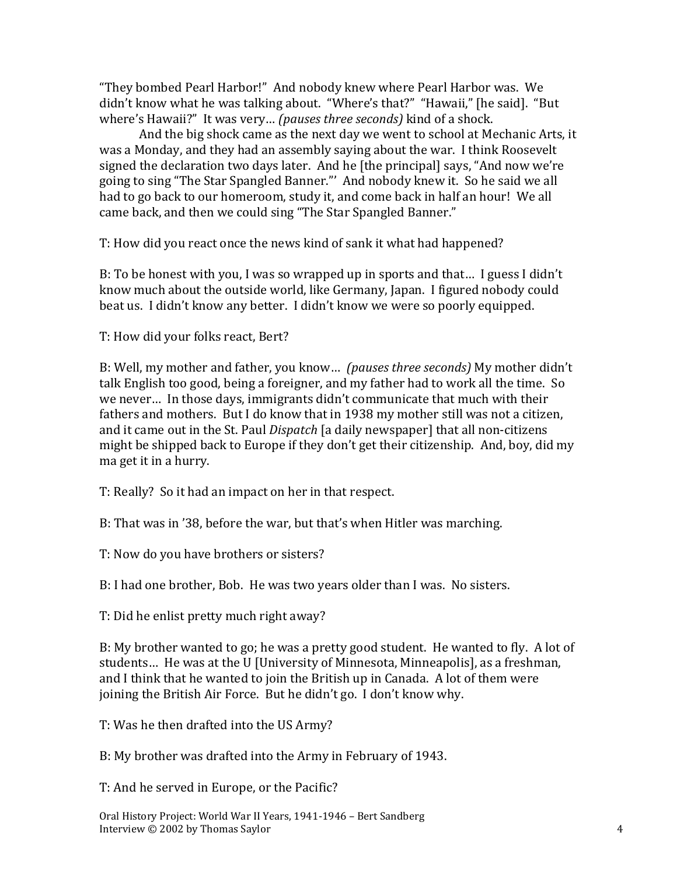"They bombed Pearl Harbor!" And nobody knew where Pearl Harbor was. We didn't know what he was talking about. "Where's that?" "Hawaii," [he said]. "But where's Hawaii?" It was very… *(pauses three seconds)* kind of a shock.

And the big shock came as the next day we went to school at Mechanic Arts, it was a Monday, and they had an assembly saying about the war. I think Roosevelt signed the declaration two days later. And he [the principal] says, "And now we're going to sing "The Star Spangled Banner."' And nobody knew it. So he said we all had to go back to our homeroom, study it, and come back in half an hour! We all came back, and then we could sing "The Star Spangled Banner."

T: How did you react once the news kind of sank it what had happened?

B: To be honest with you, I was so wrapped up in sports and that… I guess I didn't know much about the outside world, like Germany, Japan. I figured nobody could beat us. I didn't know any better. I didn't know we were so poorly equipped.

T: How did your folks react, Bert?

B: Well, my mother and father, you know… *(pauses three seconds)* My mother didn't talk English too good, being a foreigner, and my father had to work all the time. So we never… In those days, immigrants didn't communicate that much with their fathers and mothers. But I do know that in 1938 my mother still was not a citizen, and it came out in the St. Paul *Dispatch* [a daily newspaper] that all non-citizens might be shipped back to Europe if they don't get their citizenship. And, boy, did my ma get it in a hurry.

T: Really? So it had an impact on her in that respect.

B: That was in '38, before the war, but that's when Hitler was marching.

T: Now do you have brothers or sisters?

B: I had one brother, Bob. He was two years older than I was. No sisters.

T: Did he enlist pretty much right away?

B: My brother wanted to go; he was a pretty good student. He wanted to fly. A lot of students… He was at the U [University of Minnesota, Minneapolis], as a freshman, and I think that he wanted to join the British up in Canada. A lot of them were joining the British Air Force. But he didn't go. I don't know why.

T: Was he then drafted into the US Army?

B: My brother was drafted into the Army in February of 1943.

T: And he served in Europe, or the Pacific?

Oral History Project: World War II Years, 1941-1946 – Bert Sandberg Interview © 2002 by Thomas Saylor 4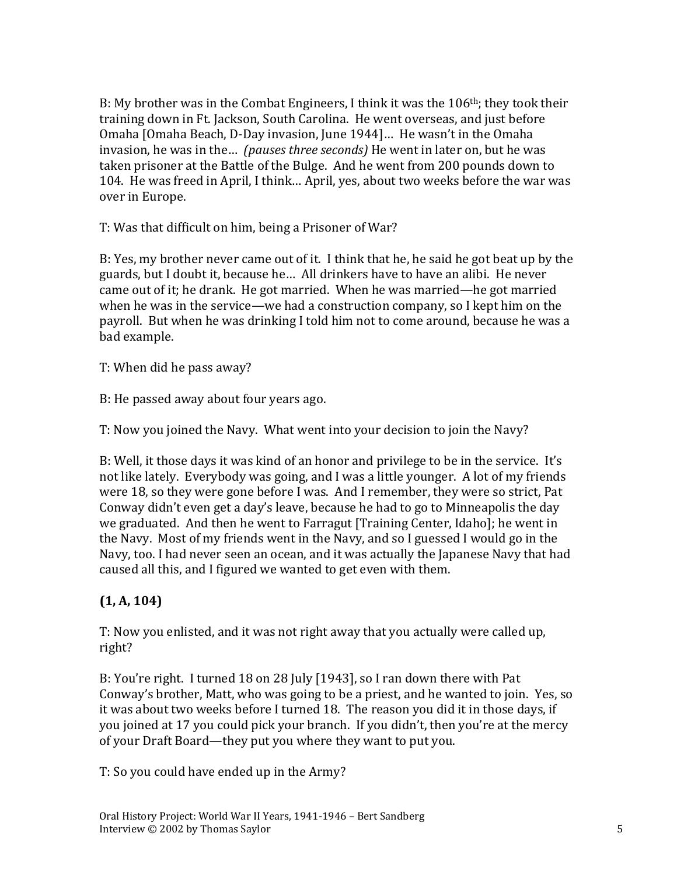B: My brother was in the Combat Engineers, I think it was the 106<sup>th</sup>; they took their training down in Ft. Jackson, South Carolina. He went overseas, and just before Omaha [Omaha Beach, D-Day invasion, June 1944]… He wasn't in the Omaha invasion, he was in the… *(pauses three seconds)* He went in later on, but he was taken prisoner at the Battle of the Bulge. And he went from 200 pounds down to 104. He was freed in April, I think… April, yes, about two weeks before the war was over in Europe.

T: Was that difficult on him, being a Prisoner of War?

B: Yes, my brother never came out of it. I think that he, he said he got beat up by the guards, but I doubt it, because he… All drinkers have to have an alibi. He never came out of it; he drank. He got married. When he was married—he got married when he was in the service—we had a construction company, so I kept him on the payroll. But when he was drinking I told him not to come around, because he was a bad example.

T: When did he pass away?

B: He passed away about four years ago.

T: Now you joined the Navy. What went into your decision to join the Navy?

B: Well, it those days it was kind of an honor and privilege to be in the service. It's not like lately. Everybody was going, and I was a little younger. A lot of my friends were 18, so they were gone before I was. And I remember, they were so strict, Pat Conway didn't even get a day's leave, because he had to go to Minneapolis the day we graduated. And then he went to Farragut [Training Center, Idaho]; he went in the Navy. Most of my friends went in the Navy, and so I guessed I would go in the Navy, too. I had never seen an ocean, and it was actually the Japanese Navy that had caused all this, and I figured we wanted to get even with them.

## **(1, A, 104)**

T: Now you enlisted, and it was not right away that you actually were called up, right?

B: You're right. I turned 18 on 28 July [1943], so I ran down there with Pat Conway's brother, Matt, who was going to be a priest, and he wanted to join. Yes, so it was about two weeks before I turned 18. The reason you did it in those days, if you joined at 17 you could pick your branch. If you didn't, then you're at the mercy of your Draft Board—they put you where they want to put you.

T: So you could have ended up in the Army?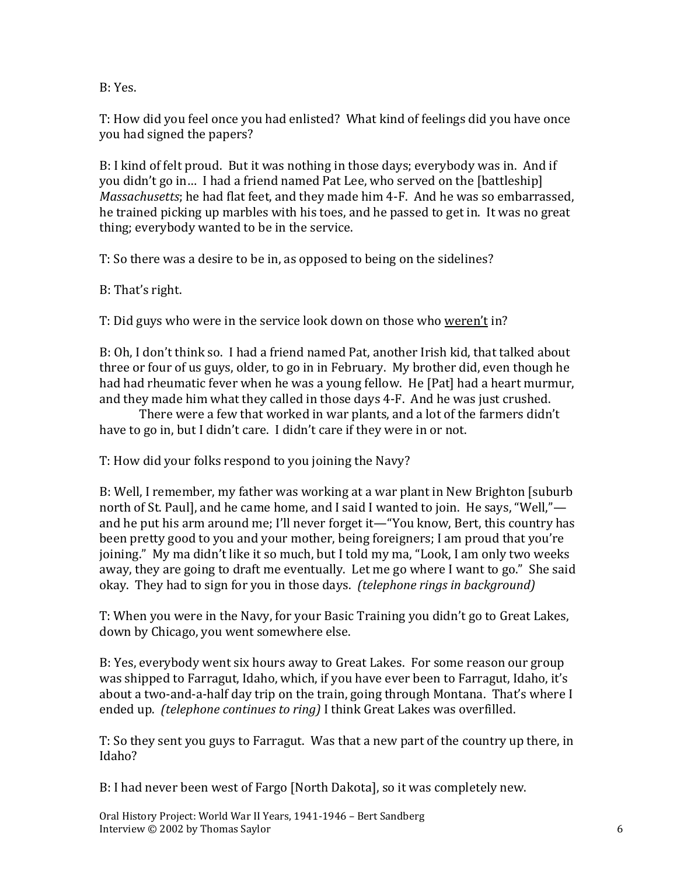B: Yes.

T: How did you feel once you had enlisted? What kind of feelings did you have once you had signed the papers?

B: I kind of felt proud. But it was nothing in those days; everybody was in. And if you didn't go in… I had a friend named Pat Lee, who served on the [battleship] *Massachusetts*; he had flat feet, and they made him 4-F. And he was so embarrassed, he trained picking up marbles with his toes, and he passed to get in. It was no great thing; everybody wanted to be in the service.

T: So there was a desire to be in, as opposed to being on the sidelines?

B: That's right.

T: Did guys who were in the service look down on those who weren't in?

B: Oh, I don't think so. I had a friend named Pat, another Irish kid, that talked about three or four of us guys, older, to go in in February. My brother did, even though he had had rheumatic fever when he was a young fellow. He [Pat] had a heart murmur, and they made him what they called in those days 4-F. And he was just crushed.

There were a few that worked in war plants, and a lot of the farmers didn't have to go in, but I didn't care. I didn't care if they were in or not.

T: How did your folks respond to you joining the Navy?

B: Well, I remember, my father was working at a war plant in New Brighton [suburb north of St. Paul], and he came home, and I said I wanted to join. He says, "Well," and he put his arm around me; I'll never forget it—"You know, Bert, this country has been pretty good to you and your mother, being foreigners; I am proud that you're joining." My ma didn't like it so much, but I told my ma, "Look, I am only two weeks away, they are going to draft me eventually. Let me go where I want to go." She said okay. They had to sign for you in those days. *(telephone rings in background)*

T: When you were in the Navy, for your Basic Training you didn't go to Great Lakes, down by Chicago, you went somewhere else.

B: Yes, everybody went six hours away to Great Lakes. For some reason our group was shipped to Farragut, Idaho, which, if you have ever been to Farragut, Idaho, it's about a two-and-a-half day trip on the train, going through Montana. That's where I ended up. *(telephone continues to ring)* I think Great Lakes was overfilled.

T: So they sent you guys to Farragut. Was that a new part of the country up there, in Idaho?

B: I had never been west of Fargo [North Dakota], so it was completely new.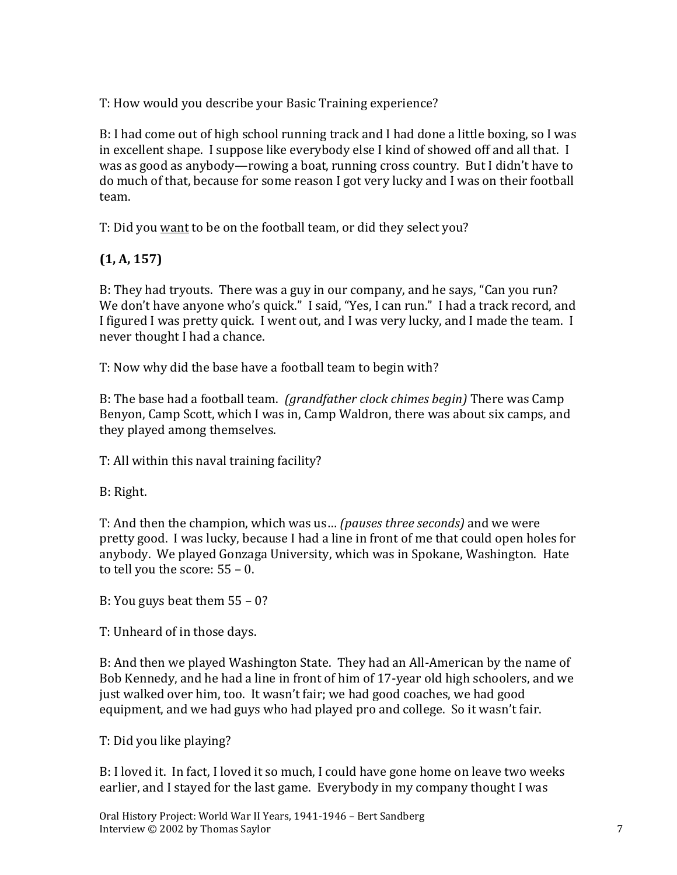T: How would you describe your Basic Training experience?

B: I had come out of high school running track and I had done a little boxing, so I was in excellent shape. I suppose like everybody else I kind of showed off and all that. I was as good as anybody—rowing a boat, running cross country. But I didn't have to do much of that, because for some reason I got very lucky and I was on their football team.

T: Did you want to be on the football team, or did they select you?

# **(1, A, 157)**

B: They had tryouts. There was a guy in our company, and he says, "Can you run? We don't have anyone who's quick." I said, "Yes, I can run." I had a track record, and I figured I was pretty quick. I went out, and I was very lucky, and I made the team. I never thought I had a chance.

T: Now why did the base have a football team to begin with?

B: The base had a football team. *(grandfather clock chimes begin)* There was Camp Benyon, Camp Scott, which I was in, Camp Waldron, there was about six camps, and they played among themselves.

T: All within this naval training facility?

B: Right.

T: And then the champion, which was us… *(pauses three seconds)* and we were pretty good. I was lucky, because I had a line in front of me that could open holes for anybody. We played Gonzaga University, which was in Spokane, Washington. Hate to tell you the score: 55 – 0.

B: You guys beat them 55 – 0?

T: Unheard of in those days.

B: And then we played Washington State. They had an All-American by the name of Bob Kennedy, and he had a line in front of him of 17-year old high schoolers, and we just walked over him, too. It wasn't fair; we had good coaches, we had good equipment, and we had guys who had played pro and college. So it wasn't fair.

T: Did you like playing?

B: I loved it. In fact, I loved it so much, I could have gone home on leave two weeks earlier, and I stayed for the last game. Everybody in my company thought I was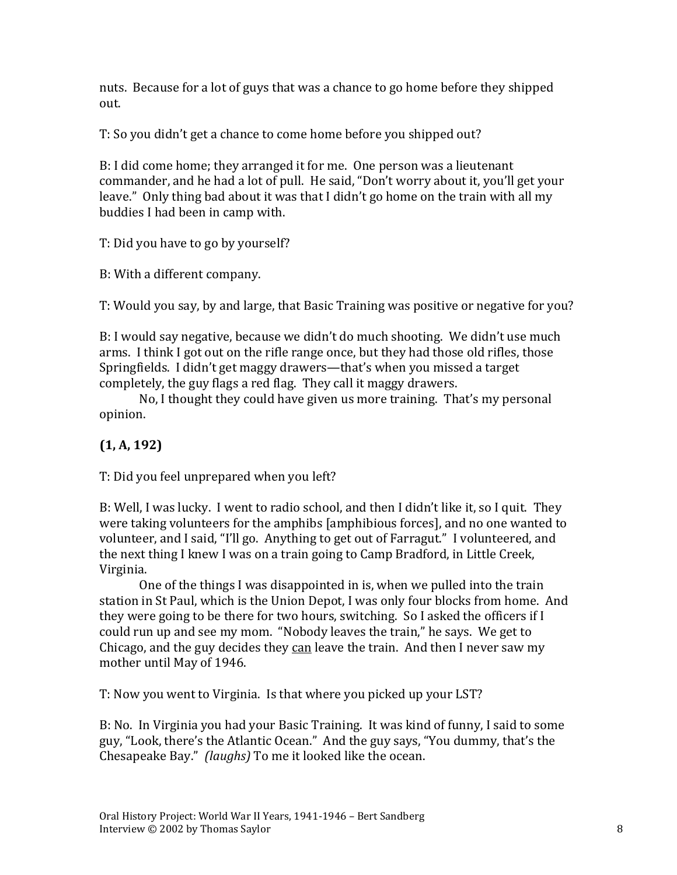nuts. Because for a lot of guys that was a chance to go home before they shipped out.

T: So you didn't get a chance to come home before you shipped out?

B: I did come home; they arranged it for me. One person was a lieutenant commander, and he had a lot of pull. He said, "Don't worry about it, you'll get your leave." Only thing bad about it was that I didn't go home on the train with all my buddies I had been in camp with.

T: Did you have to go by yourself?

B: With a different company.

T: Would you say, by and large, that Basic Training was positive or negative for you?

B: I would say negative, because we didn't do much shooting. We didn't use much arms. I think I got out on the rifle range once, but they had those old rifles, those Springfields. I didn't get maggy drawers—that's when you missed a target completely, the guy flags a red flag. They call it maggy drawers.

No, I thought they could have given us more training. That's my personal opinion.

## **(1, A, 192)**

T: Did you feel unprepared when you left?

B: Well, I was lucky. I went to radio school, and then I didn't like it, so I quit. They were taking volunteers for the amphibs [amphibious forces], and no one wanted to volunteer, and I said, "I'll go. Anything to get out of Farragut." I volunteered, and the next thing I knew I was on a train going to Camp Bradford, in Little Creek, Virginia.

One of the things I was disappointed in is, when we pulled into the train station in St Paul, which is the Union Depot, I was only four blocks from home. And they were going to be there for two hours, switching. So I asked the officers if I could run up and see my mom. "Nobody leaves the train," he says. We get to Chicago, and the guy decides they can leave the train. And then I never saw my mother until May of 1946.

T: Now you went to Virginia. Is that where you picked up your LST?

B: No. In Virginia you had your Basic Training. It was kind of funny, I said to some guy, "Look, there's the Atlantic Ocean." And the guy says, "You dummy, that's the Chesapeake Bay." *(laughs)* To me it looked like the ocean.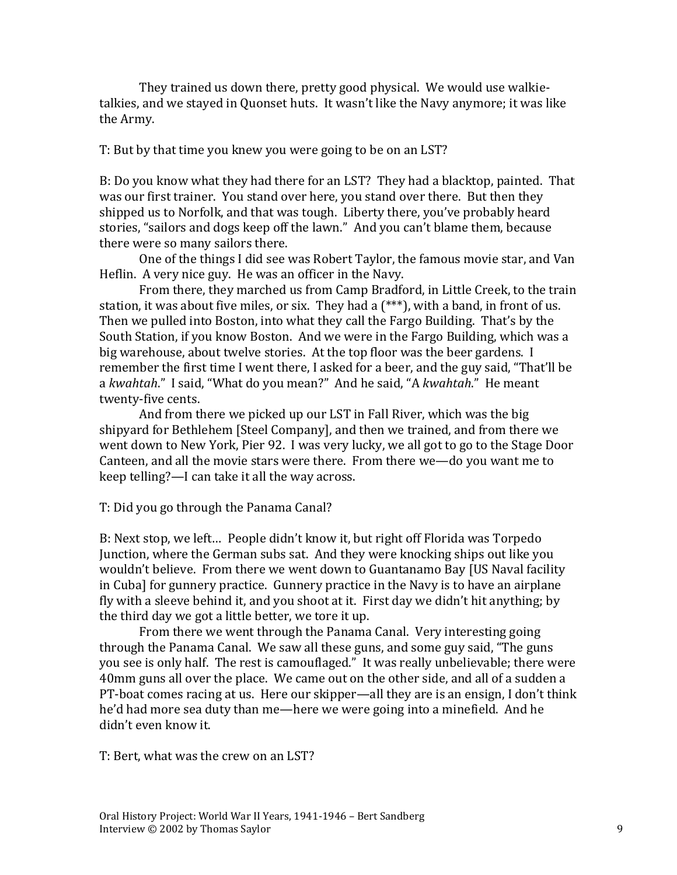They trained us down there, pretty good physical. We would use walkietalkies, and we stayed in Quonset huts. It wasn't like the Navy anymore; it was like the Army.

T: But by that time you knew you were going to be on an LST?

B: Do you know what they had there for an LST? They had a blacktop, painted. That was our first trainer. You stand over here, you stand over there. But then they shipped us to Norfolk, and that was tough. Liberty there, you've probably heard stories, "sailors and dogs keep off the lawn." And you can't blame them, because there were so many sailors there.

One of the things I did see was Robert Taylor, the famous movie star, and Van Heflin. A very nice guy. He was an officer in the Navy.

From there, they marched us from Camp Bradford, in Little Creek, to the train station, it was about five miles, or six. They had a (\*\*\*), with a band, in front of us. Then we pulled into Boston, into what they call the Fargo Building. That's by the South Station, if you know Boston. And we were in the Fargo Building, which was a big warehouse, about twelve stories. At the top floor was the beer gardens. I remember the first time I went there, I asked for a beer, and the guy said, "That'll be a *kwahtah*." I said, "What do you mean?" And he said, "A *kwahtah*." He meant twenty-five cents.

And from there we picked up our LST in Fall River, which was the big shipyard for Bethlehem [Steel Company], and then we trained, and from there we went down to New York, Pier 92. I was very lucky, we all got to go to the Stage Door Canteen, and all the movie stars were there. From there we—do you want me to keep telling?—I can take it all the way across.

T: Did you go through the Panama Canal?

B: Next stop, we left… People didn't know it, but right off Florida was Torpedo Junction, where the German subs sat. And they were knocking ships out like you wouldn't believe. From there we went down to Guantanamo Bay [US Naval facility in Cuba] for gunnery practice. Gunnery practice in the Navy is to have an airplane fly with a sleeve behind it, and you shoot at it. First day we didn't hit anything; by the third day we got a little better, we tore it up.

From there we went through the Panama Canal. Very interesting going through the Panama Canal. We saw all these guns, and some guy said, "The guns you see is only half. The rest is camouflaged." It was really unbelievable; there were 40mm guns all over the place. We came out on the other side, and all of a sudden a PT-boat comes racing at us. Here our skipper—all they are is an ensign, I don't think he'd had more sea duty than me—here we were going into a minefield. And he didn't even know it.

T: Bert, what was the crew on an LST?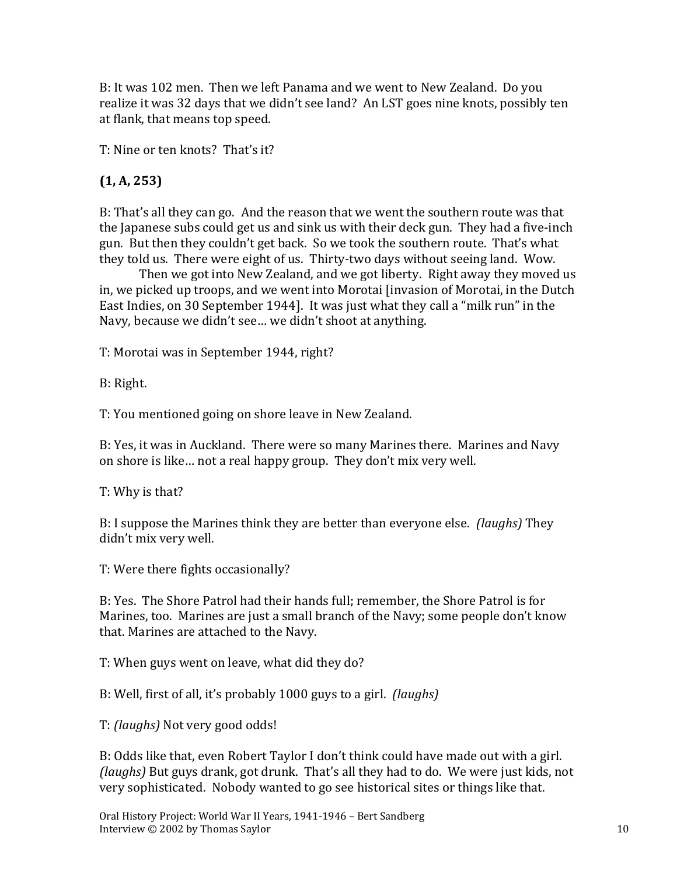B: It was 102 men. Then we left Panama and we went to New Zealand. Do you realize it was 32 days that we didn't see land? An LST goes nine knots, possibly ten at flank, that means top speed.

T: Nine or ten knots? That's it?

## **(1, A, 253)**

B: That's all they can go. And the reason that we went the southern route was that the Japanese subs could get us and sink us with their deck gun. They had a five-inch gun. But then they couldn't get back. So we took the southern route. That's what they told us. There were eight of us. Thirty-two days without seeing land. Wow.

Then we got into New Zealand, and we got liberty. Right away they moved us in, we picked up troops, and we went into Morotai [invasion of Morotai, in the Dutch East Indies, on 30 September 1944]. It was just what they call a "milk run" in the Navy, because we didn't see… we didn't shoot at anything.

T: Morotai was in September 1944, right?

B: Right.

T: You mentioned going on shore leave in New Zealand.

B: Yes, it was in Auckland. There were so many Marines there. Marines and Navy on shore is like… not a real happy group. They don't mix very well.

T: Why is that?

B: I suppose the Marines think they are better than everyone else. *(laughs)* They didn't mix very well.

T: Were there fights occasionally?

B: Yes. The Shore Patrol had their hands full; remember, the Shore Patrol is for Marines, too. Marines are just a small branch of the Navy; some people don't know that. Marines are attached to the Navy.

T: When guys went on leave, what did they do?

B: Well, first of all, it's probably 1000 guys to a girl. *(laughs)*

T: *(laughs)* Not very good odds!

B: Odds like that, even Robert Taylor I don't think could have made out with a girl. *(laughs)* But guys drank, got drunk. That's all they had to do. We were just kids, not very sophisticated. Nobody wanted to go see historical sites or things like that.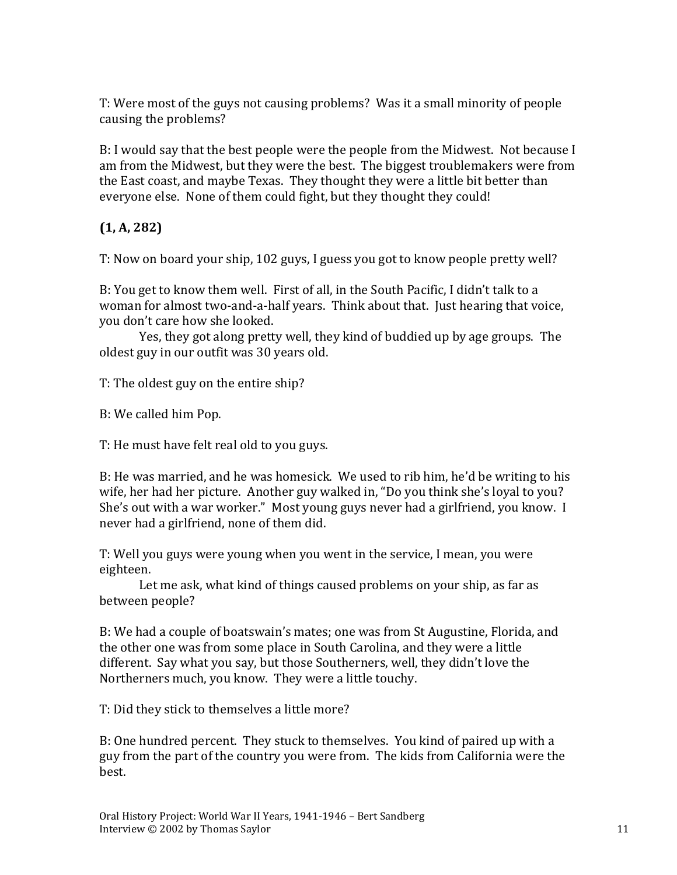T: Were most of the guys not causing problems? Was it a small minority of people causing the problems?

B: I would say that the best people were the people from the Midwest. Not because I am from the Midwest, but they were the best. The biggest troublemakers were from the East coast, and maybe Texas. They thought they were a little bit better than everyone else. None of them could fight, but they thought they could!

## **(1, A, 282)**

T: Now on board your ship, 102 guys, I guess you got to know people pretty well?

B: You get to know them well. First of all, in the South Pacific, I didn't talk to a woman for almost two-and-a-half years. Think about that. Just hearing that voice, you don't care how she looked.

Yes, they got along pretty well, they kind of buddied up by age groups. The oldest guy in our outfit was 30 years old.

T: The oldest guy on the entire ship?

B: We called him Pop.

T: He must have felt real old to you guys.

B: He was married, and he was homesick. We used to rib him, he'd be writing to his wife, her had her picture. Another guy walked in, "Do you think she's loyal to you? She's out with a war worker." Most young guys never had a girlfriend, you know. I never had a girlfriend, none of them did.

T: Well you guys were young when you went in the service, I mean, you were eighteen.

Let me ask, what kind of things caused problems on your ship, as far as between people?

B: We had a couple of boatswain's mates; one was from St Augustine, Florida, and the other one was from some place in South Carolina, and they were a little different. Say what you say, but those Southerners, well, they didn't love the Northerners much, you know. They were a little touchy.

T: Did they stick to themselves a little more?

B: One hundred percent. They stuck to themselves. You kind of paired up with a guy from the part of the country you were from. The kids from California were the best.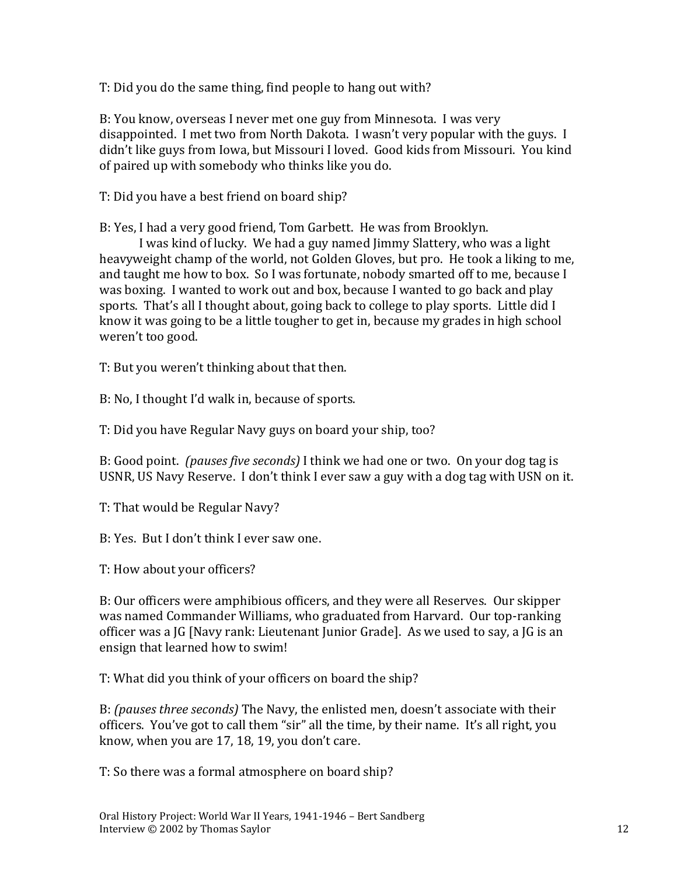T: Did you do the same thing, find people to hang out with?

B: You know, overseas I never met one guy from Minnesota. I was very disappointed. I met two from North Dakota. I wasn't very popular with the guys. I didn't like guys from Iowa, but Missouri I loved. Good kids from Missouri. You kind of paired up with somebody who thinks like you do.

T: Did you have a best friend on board ship?

B: Yes, I had a very good friend, Tom Garbett. He was from Brooklyn.

I was kind of lucky. We had a guy named Jimmy Slattery, who was a light heavyweight champ of the world, not Golden Gloves, but pro. He took a liking to me, and taught me how to box. So I was fortunate, nobody smarted off to me, because I was boxing. I wanted to work out and box, because I wanted to go back and play sports. That's all I thought about, going back to college to play sports. Little did I know it was going to be a little tougher to get in, because my grades in high school weren't too good.

T: But you weren't thinking about that then.

B: No, I thought I'd walk in, because of sports.

T: Did you have Regular Navy guys on board your ship, too?

B: Good point. *(pauses five seconds)* I think we had one or two. On your dog tag is USNR, US Navy Reserve. I don't think I ever saw a guy with a dog tag with USN on it.

T: That would be Regular Navy?

B: Yes. But I don't think I ever saw one.

T: How about your officers?

B: Our officers were amphibious officers, and they were all Reserves. Our skipper was named Commander Williams, who graduated from Harvard. Our top-ranking officer was a JG [Navy rank: Lieutenant Junior Grade]. As we used to say, a JG is an ensign that learned how to swim!

T: What did you think of your officers on board the ship?

B: *(pauses three seconds)* The Navy, the enlisted men, doesn't associate with their officers. You've got to call them "sir" all the time, by their name. It's all right, you know, when you are 17, 18, 19, you don't care.

T: So there was a formal atmosphere on board ship?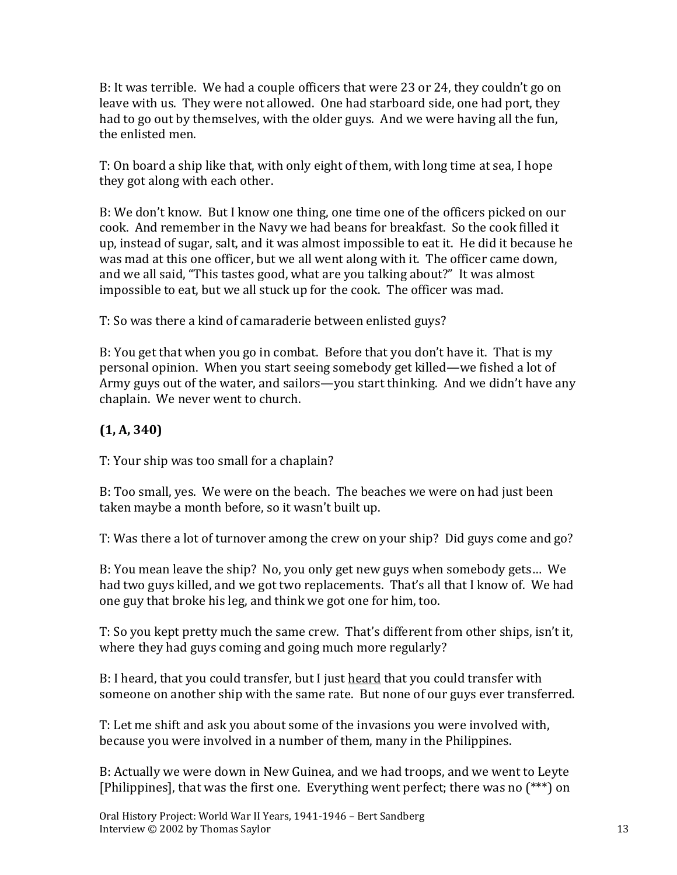B: It was terrible. We had a couple officers that were 23 or 24, they couldn't go on leave with us. They were not allowed. One had starboard side, one had port, they had to go out by themselves, with the older guys. And we were having all the fun, the enlisted men.

T: On board a ship like that, with only eight of them, with long time at sea, I hope they got along with each other.

B: We don't know. But I know one thing, one time one of the officers picked on our cook. And remember in the Navy we had beans for breakfast. So the cook filled it up, instead of sugar, salt, and it was almost impossible to eat it. He did it because he was mad at this one officer, but we all went along with it. The officer came down, and we all said, "This tastes good, what are you talking about?" It was almost impossible to eat, but we all stuck up for the cook. The officer was mad.

T: So was there a kind of camaraderie between enlisted guys?

B: You get that when you go in combat. Before that you don't have it. That is my personal opinion. When you start seeing somebody get killed—we fished a lot of Army guys out of the water, and sailors—you start thinking. And we didn't have any chaplain. We never went to church.

## **(1, A, 340)**

T: Your ship was too small for a chaplain?

B: Too small, yes. We were on the beach. The beaches we were on had just been taken maybe a month before, so it wasn't built up.

T: Was there a lot of turnover among the crew on your ship? Did guys come and go?

B: You mean leave the ship? No, you only get new guys when somebody gets… We had two guys killed, and we got two replacements. That's all that I know of. We had one guy that broke his leg, and think we got one for him, too.

T: So you kept pretty much the same crew. That's different from other ships, isn't it, where they had guys coming and going much more regularly?

B: I heard, that you could transfer, but I just heard that you could transfer with someone on another ship with the same rate. But none of our guys ever transferred.

T: Let me shift and ask you about some of the invasions you were involved with, because you were involved in a number of them, many in the Philippines.

B: Actually we were down in New Guinea, and we had troops, and we went to Leyte [Philippines], that was the first one. Everything went perfect; there was no (\*\*\*) on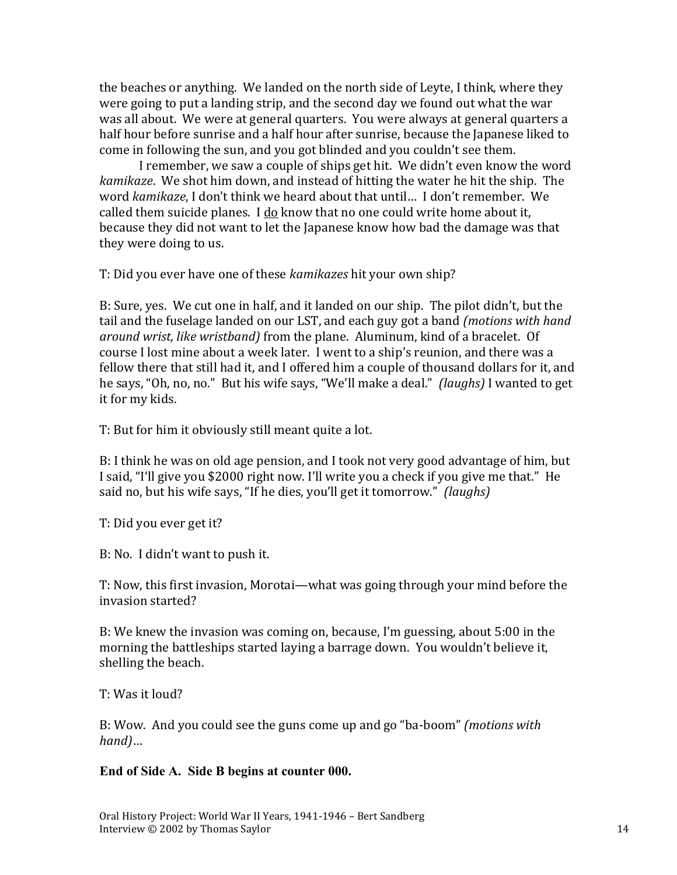the beaches or anything. We landed on the north side of Leyte, I think, where they were going to put a landing strip, and the second day we found out what the war was all about. We were at general quarters. You were always at general quarters a half hour before sunrise and a half hour after sunrise, because the Japanese liked to come in following the sun, and you got blinded and you couldn't see them.

I remember, we saw a couple of ships get hit. We didn't even know the word *kamikaze*. We shot him down, and instead of hitting the water he hit the ship. The word *kamikaze*, I don't think we heard about that until… I don't remember. We called them suicide planes. I do know that no one could write home about it, because they did not want to let the Japanese know how bad the damage was that they were doing to us.

T: Did you ever have one of these *kamikazes* hit your own ship?

B: Sure, yes. We cut one in half, and it landed on our ship. The pilot didn't, but the tail and the fuselage landed on our LST, and each guy got a band *(motions with hand around wrist, like wristband)* from the plane. Aluminum, kind of a bracelet. Of course I lost mine about a week later. I went to a ship's reunion, and there was a fellow there that still had it, and I offered him a couple of thousand dollars for it, and he says, "Oh, no, no." But his wife says, "We'll make a deal." *(laughs)* I wanted to get it for my kids.

T: But for him it obviously still meant quite a lot.

B: I think he was on old age pension, and I took not very good advantage of him, but I said, "I'll give you \$2000 right now. I'll write you a check if you give me that." He said no, but his wife says, "If he dies, you'll get it tomorrow." *(laughs)*

T: Did you ever get it?

B: No. I didn't want to push it.

T: Now, this first invasion, Morotai—what was going through your mind before the invasion started?

B: We knew the invasion was coming on, because, I'm guessing, about 5:00 in the morning the battleships started laying a barrage down. You wouldn't believe it, shelling the beach.

T: Was it loud?

B: Wow. And you could see the guns come up and go "ba-boom" *(motions with hand)*…

#### **End of Side A. Side B begins at counter 000.**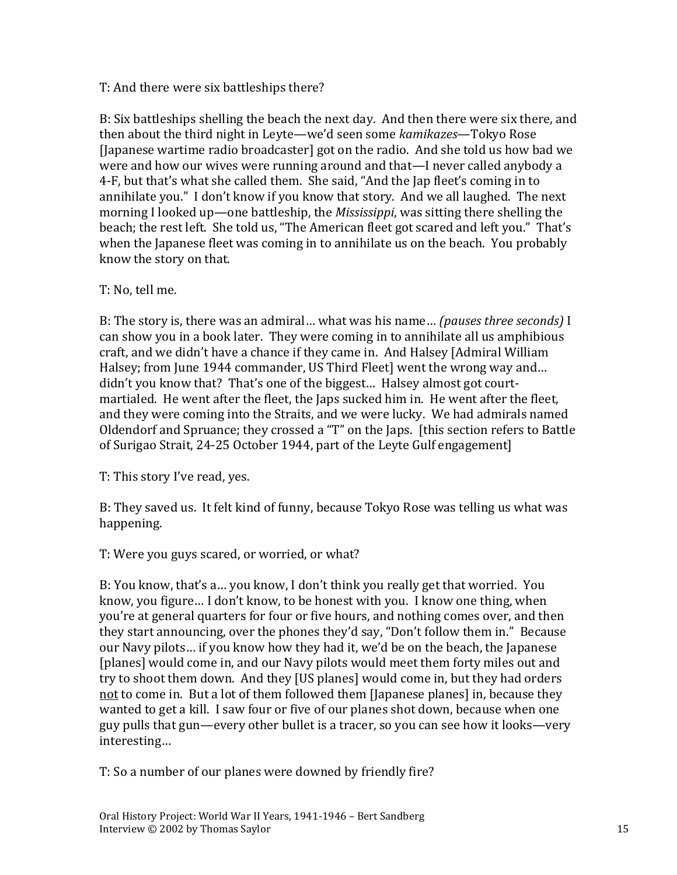#### T: And there were six battleships there?

B: Six battleships shelling the beach the next day. And then there were six there, and then about the third night in Leyte—we'd seen some *kamikazes*—Tokyo Rose [Japanese wartime radio broadcaster] got on the radio. And she told us how bad we were and how our wives were running around and that—I never called anybody a 4-F, but that's what she called them. She said, "And the Jap fleet's coming in to annihilate you." I don't know if you know that story. And we all laughed. The next morning I looked up—one battleship, the *Mississippi*, was sitting there shelling the beach; the rest left. She told us, "The American fleet got scared and left you." That's when the Japanese fleet was coming in to annihilate us on the beach. You probably know the story on that.

#### T: No, tell me.

B: The story is, there was an admiral… what was his name… *(pauses three seconds)* I can show you in a book later. They were coming in to annihilate all us amphibious craft, and we didn't have a chance if they came in. And Halsey [Admiral William Halsey; from June 1944 commander, US Third Fleet] went the wrong way and… didn't you know that? That's one of the biggest… Halsey almost got courtmartialed. He went after the fleet, the Japs sucked him in. He went after the fleet, and they were coming into the Straits, and we were lucky. We had admirals named Oldendorf and Spruance; they crossed a "T" on the Japs. [this section refers to Battle of Surigao Strait, 24-25 October 1944, part of the Leyte Gulf engagement]

T: This story I've read, yes.

B: They saved us. It felt kind of funny, because Tokyo Rose was telling us what was happening.

T: Were you guys scared, or worried, or what?

B: You know, that's a… you know, I don't think you really get that worried. You know, you figure… I don't know, to be honest with you. I know one thing, when you're at general quarters for four or five hours, and nothing comes over, and then they start announcing, over the phones they'd say, "Don't follow them in." Because our Navy pilots… if you know how they had it, we'd be on the beach, the Japanese [planes] would come in, and our Navy pilots would meet them forty miles out and try to shoot them down. And they [US planes] would come in, but they had orders not to come in. But a lot of them followed them [Japanese planes] in, because they wanted to get a kill. I saw four or five of our planes shot down, because when one guy pulls that gun—every other bullet is a tracer, so you can see how it looks—very interesting…

T: So a number of our planes were downed by friendly fire?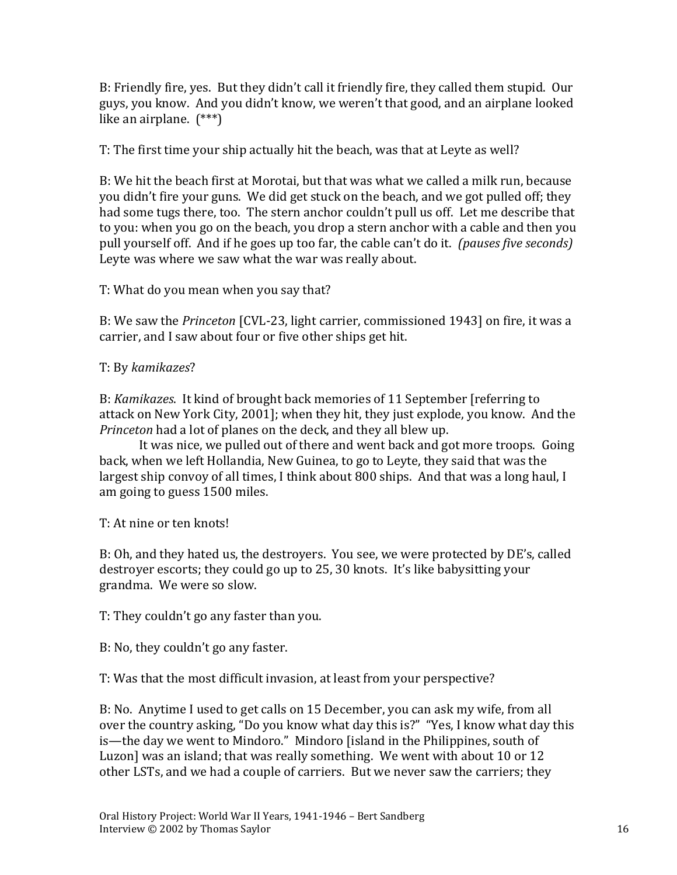B: Friendly fire, yes. But they didn't call it friendly fire, they called them stupid. Our guys, you know. And you didn't know, we weren't that good, and an airplane looked like an airplane. (\*\*\*)

T: The first time your ship actually hit the beach, was that at Leyte as well?

B: We hit the beach first at Morotai, but that was what we called a milk run, because you didn't fire your guns. We did get stuck on the beach, and we got pulled off; they had some tugs there, too. The stern anchor couldn't pull us off. Let me describe that to you: when you go on the beach, you drop a stern anchor with a cable and then you pull yourself off. And if he goes up too far, the cable can't do it. *(pauses five seconds)*  Leyte was where we saw what the war was really about.

T: What do you mean when you say that?

B: We saw the *Princeton* [CVL-23, light carrier, commissioned 1943] on fire, it was a carrier, and I saw about four or five other ships get hit.

T: By *kamikazes*?

B: *Kamikazes*. It kind of brought back memories of 11 September [referring to attack on New York City, 2001]; when they hit, they just explode, you know. And the *Princeton* had a lot of planes on the deck, and they all blew up.

It was nice, we pulled out of there and went back and got more troops. Going back, when we left Hollandia, New Guinea, to go to Leyte, they said that was the largest ship convoy of all times, I think about 800 ships. And that was a long haul, I am going to guess 1500 miles.

T: At nine or ten knots!

B: Oh, and they hated us, the destroyers. You see, we were protected by DE's, called destroyer escorts; they could go up to 25, 30 knots. It's like babysitting your grandma. We were so slow.

T: They couldn't go any faster than you.

B: No, they couldn't go any faster.

T: Was that the most difficult invasion, at least from your perspective?

B: No. Anytime I used to get calls on 15 December, you can ask my wife, from all over the country asking, "Do you know what day this is?" "Yes, I know what day this is—the day we went to Mindoro." Mindoro [island in the Philippines, south of Luzon] was an island; that was really something. We went with about 10 or 12 other LSTs, and we had a couple of carriers. But we never saw the carriers; they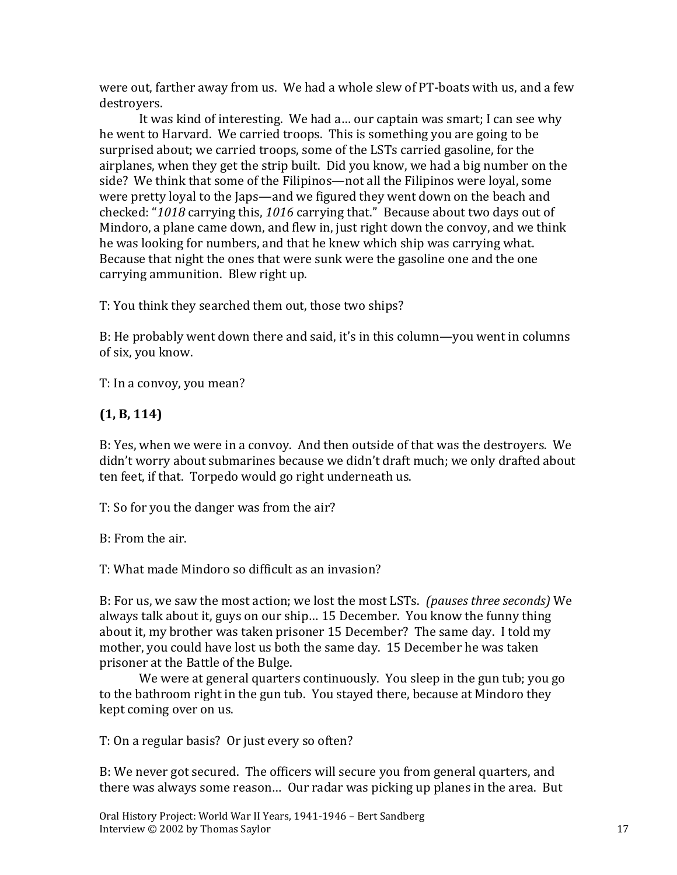were out, farther away from us. We had a whole slew of PT-boats with us, and a few destroyers.

It was kind of interesting. We had a… our captain was smart; I can see why he went to Harvard. We carried troops. This is something you are going to be surprised about; we carried troops, some of the LSTs carried gasoline, for the airplanes, when they get the strip built. Did you know, we had a big number on the side? We think that some of the Filipinos—not all the Filipinos were loyal, some were pretty loyal to the Japs—and we figured they went down on the beach and checked: "*1018* carrying this, *1016* carrying that." Because about two days out of Mindoro, a plane came down, and flew in, just right down the convoy, and we think he was looking for numbers, and that he knew which ship was carrying what. Because that night the ones that were sunk were the gasoline one and the one carrying ammunition. Blew right up.

T: You think they searched them out, those two ships?

B: He probably went down there and said, it's in this column—you went in columns of six, you know.

T: In a convoy, you mean?

## **(1, B, 114)**

B: Yes, when we were in a convoy. And then outside of that was the destroyers. We didn't worry about submarines because we didn't draft much; we only drafted about ten feet, if that. Torpedo would go right underneath us.

T: So for you the danger was from the air?

B: From the air.

T: What made Mindoro so difficult as an invasion?

B: For us, we saw the most action; we lost the most LSTs. *(pauses three seconds)* We always talk about it, guys on our ship… 15 December. You know the funny thing about it, my brother was taken prisoner 15 December? The same day. I told my mother, you could have lost us both the same day. 15 December he was taken prisoner at the Battle of the Bulge.

We were at general quarters continuously. You sleep in the gun tub; you go to the bathroom right in the gun tub. You stayed there, because at Mindoro they kept coming over on us.

T: On a regular basis? Or just every so often?

B: We never got secured. The officers will secure you from general quarters, and there was always some reason… Our radar was picking up planes in the area. But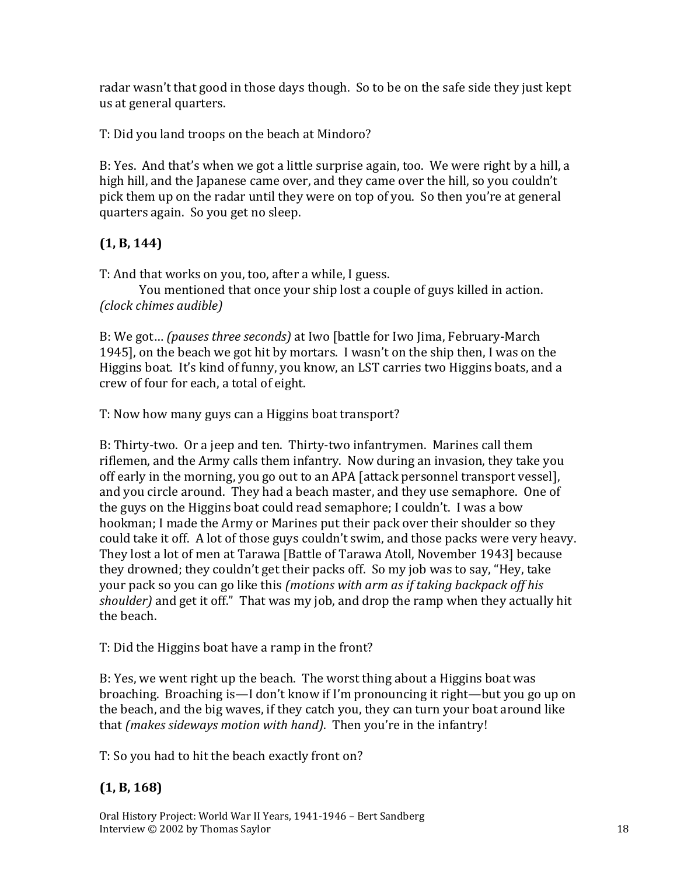radar wasn't that good in those days though. So to be on the safe side they just kept us at general quarters.

T: Did you land troops on the beach at Mindoro?

B: Yes. And that's when we got a little surprise again, too. We were right by a hill, a high hill, and the Japanese came over, and they came over the hill, so you couldn't pick them up on the radar until they were on top of you. So then you're at general quarters again. So you get no sleep.

# **(1, B, 144)**

T: And that works on you, too, after a while, I guess.

You mentioned that once your ship lost a couple of guys killed in action. *(clock chimes audible)*

B: We got… *(pauses three seconds)* at Iwo [battle for Iwo Jima, February-March 1945], on the beach we got hit by mortars. I wasn't on the ship then, I was on the Higgins boat. It's kind of funny, you know, an LST carries two Higgins boats, and a crew of four for each, a total of eight.

T: Now how many guys can a Higgins boat transport?

B: Thirty-two. Or a jeep and ten. Thirty-two infantrymen. Marines call them riflemen, and the Army calls them infantry. Now during an invasion, they take you off early in the morning, you go out to an APA [attack personnel transport vessel], and you circle around. They had a beach master, and they use semaphore. One of the guys on the Higgins boat could read semaphore; I couldn't. I was a bow hookman; I made the Army or Marines put their pack over their shoulder so they could take it off. A lot of those guys couldn't swim, and those packs were very heavy. They lost a lot of men at Tarawa [Battle of Tarawa Atoll, November 1943] because they drowned; they couldn't get their packs off. So my job was to say, "Hey, take your pack so you can go like this *(motions with arm as if taking backpack off his shoulder)* and get it off." That was my job, and drop the ramp when they actually hit the beach.

T: Did the Higgins boat have a ramp in the front?

B: Yes, we went right up the beach. The worst thing about a Higgins boat was broaching. Broaching is—I don't know if I'm pronouncing it right—but you go up on the beach, and the big waves, if they catch you, they can turn your boat around like that *(makes sideways motion with hand)*. Then you're in the infantry!

T: So you had to hit the beach exactly front on?

# **(1, B, 168)**

Oral History Project: World War II Years, 1941-1946 – Bert Sandberg Interview © 2002 by Thomas Saylor 18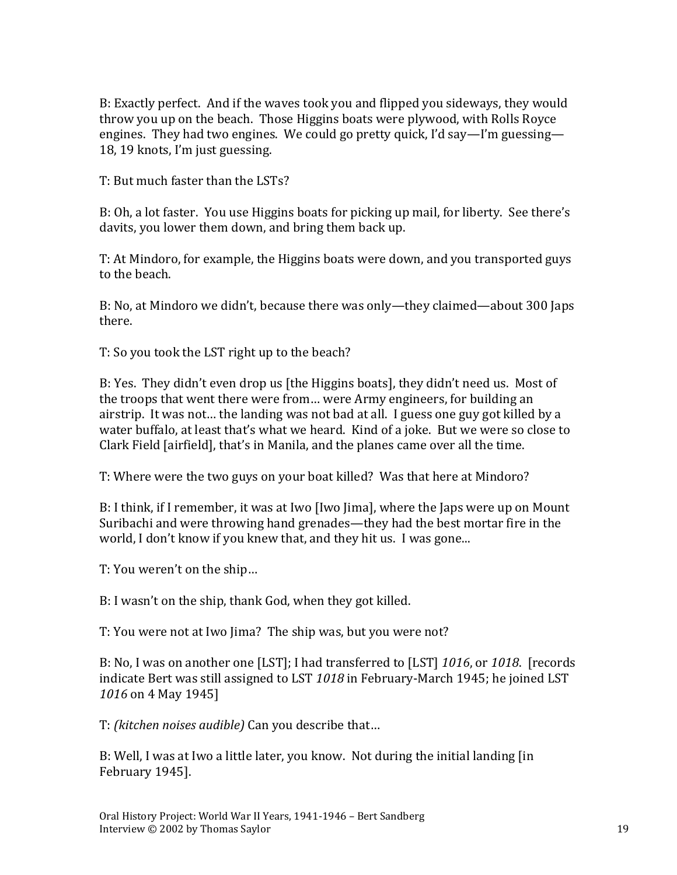B: Exactly perfect. And if the waves took you and flipped you sideways, they would throw you up on the beach. Those Higgins boats were plywood, with Rolls Royce engines. They had two engines. We could go pretty quick, I'd say—I'm guessing— 18, 19 knots, I'm just guessing.

T: But much faster than the LSTs?

B: Oh, a lot faster. You use Higgins boats for picking up mail, for liberty. See there's davits, you lower them down, and bring them back up.

T: At Mindoro, for example, the Higgins boats were down, and you transported guys to the beach.

B: No, at Mindoro we didn't, because there was only—they claimed—about 300 Japs there.

T: So you took the LST right up to the beach?

B: Yes. They didn't even drop us [the Higgins boats], they didn't need us. Most of the troops that went there were from… were Army engineers, for building an airstrip. It was not… the landing was not bad at all. I guess one guy got killed by a water buffalo, at least that's what we heard. Kind of a joke. But we were so close to Clark Field [airfield], that's in Manila, and the planes came over all the time.

T: Where were the two guys on your boat killed? Was that here at Mindoro?

B: I think, if I remember, it was at Iwo [Iwo Jima], where the Japs were up on Mount Suribachi and were throwing hand grenades—they had the best mortar fire in the world, I don't know if you knew that, and they hit us. I was gone...

T: You weren't on the ship…

B: I wasn't on the ship, thank God, when they got killed.

T: You were not at Iwo Jima? The ship was, but you were not?

B: No, I was on another one [LST]; I had transferred to [LST] *1016*, or *1018*. [records indicate Bert was still assigned to LST *1018* in February-March 1945; he joined LST *1016* on 4 May 1945]

T: *(kitchen noises audible)* Can you describe that…

B: Well, I was at Iwo a little later, you know. Not during the initial landing [in February 1945].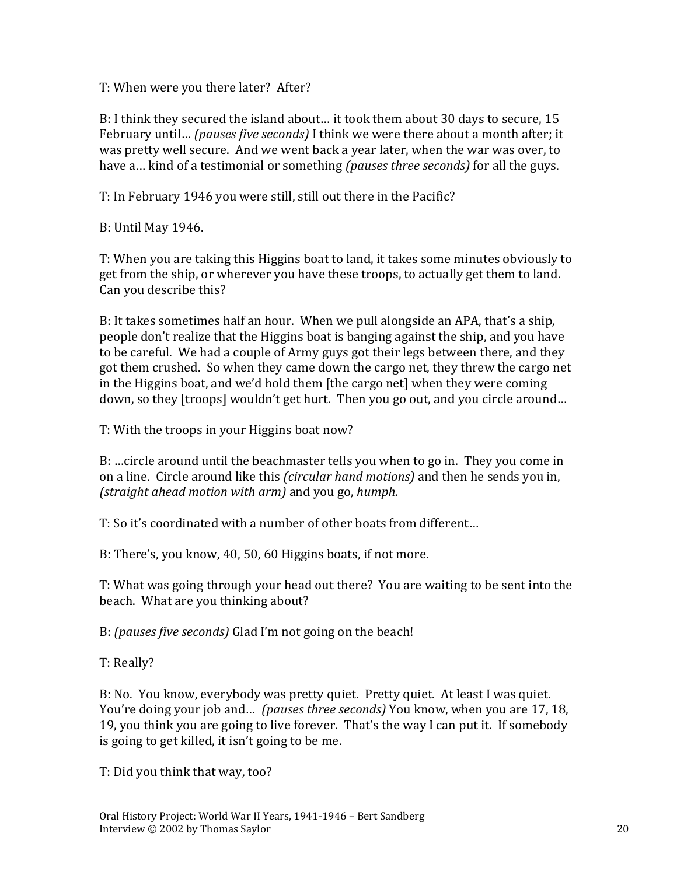T: When were you there later? After?

B: I think they secured the island about… it took them about 30 days to secure, 15 February until… *(pauses five seconds)* I think we were there about a month after; it was pretty well secure. And we went back a year later, when the war was over, to have a… kind of a testimonial or something *(pauses three seconds)* for all the guys.

T: In February 1946 you were still, still out there in the Pacific?

B: Until May 1946.

T: When you are taking this Higgins boat to land, it takes some minutes obviously to get from the ship, or wherever you have these troops, to actually get them to land. Can you describe this?

B: It takes sometimes half an hour. When we pull alongside an APA, that's a ship, people don't realize that the Higgins boat is banging against the ship, and you have to be careful. We had a couple of Army guys got their legs between there, and they got them crushed. So when they came down the cargo net, they threw the cargo net in the Higgins boat, and we'd hold them [the cargo net] when they were coming down, so they [troops] wouldn't get hurt. Then you go out, and you circle around…

T: With the troops in your Higgins boat now?

B: …circle around until the beachmaster tells you when to go in. They you come in on a line. Circle around like this *(circular hand motions)* and then he sends you in, *(straight ahead motion with arm)* and you go, *humph.*

T: So it's coordinated with a number of other boats from different…

B: There's, you know, 40, 50, 60 Higgins boats, if not more.

T: What was going through your head out there? You are waiting to be sent into the beach. What are you thinking about?

B: *(pauses five seconds)* Glad I'm not going on the beach!

T: Really?

B: No. You know, everybody was pretty quiet. Pretty quiet. At least I was quiet. You're doing your job and… *(pauses three seconds)* You know, when you are 17, 18, 19, you think you are going to live forever. That's the way I can put it. If somebody is going to get killed, it isn't going to be me.

T: Did you think that way, too?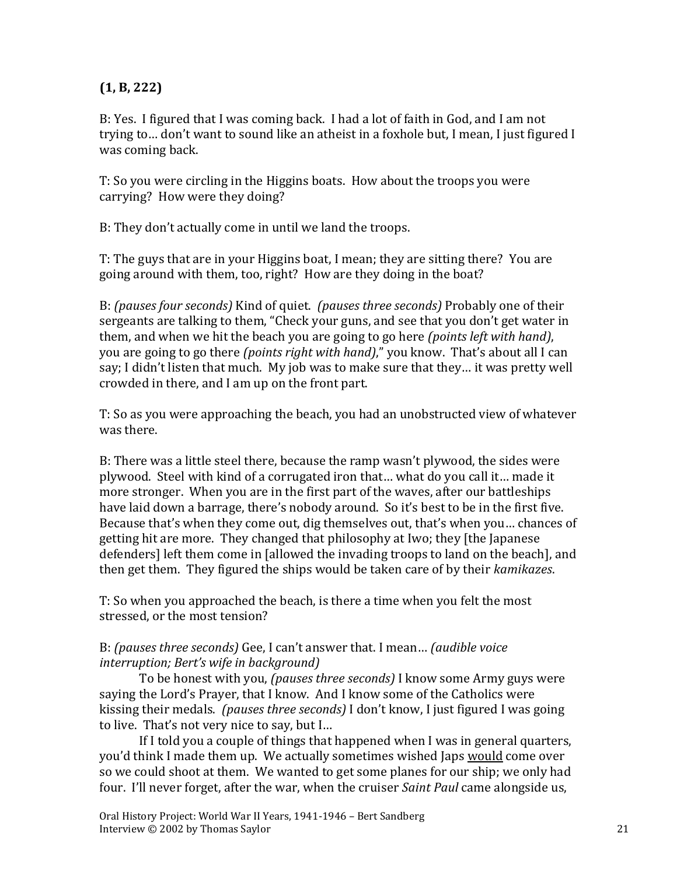#### **(1, B, 222)**

B: Yes. I figured that I was coming back. I had a lot of faith in God, and I am not trying to… don't want to sound like an atheist in a foxhole but, I mean, I just figured I was coming back.

T: So you were circling in the Higgins boats. How about the troops you were carrying? How were they doing?

B: They don't actually come in until we land the troops.

T: The guys that are in your Higgins boat, I mean; they are sitting there? You are going around with them, too, right? How are they doing in the boat?

B: *(pauses four seconds)* Kind of quiet. *(pauses three seconds)* Probably one of their sergeants are talking to them, "Check your guns, and see that you don't get water in them, and when we hit the beach you are going to go here *(points left with hand)*, you are going to go there *(points right with hand)*," you know. That's about all I can say; I didn't listen that much. My job was to make sure that they… it was pretty well crowded in there, and I am up on the front part.

T: So as you were approaching the beach, you had an unobstructed view of whatever was there.

B: There was a little steel there, because the ramp wasn't plywood, the sides were plywood. Steel with kind of a corrugated iron that… what do you call it… made it more stronger. When you are in the first part of the waves, after our battleships have laid down a barrage, there's nobody around. So it's best to be in the first five. Because that's when they come out, dig themselves out, that's when you… chances of getting hit are more. They changed that philosophy at Iwo; they [the Japanese defenders] left them come in [allowed the invading troops to land on the beach], and then get them. They figured the ships would be taken care of by their *kamikazes*.

T: So when you approached the beach, is there a time when you felt the most stressed, or the most tension?

#### B: *(pauses three seconds)* Gee, I can't answer that. I mean… *(audible voice interruption; Bert's wife in background)*

To be honest with you, *(pauses three seconds)* I know some Army guys were saying the Lord's Prayer, that I know. And I know some of the Catholics were kissing their medals. *(pauses three seconds)* I don't know, I just figured I was going to live. That's not very nice to say, but I…

If I told you a couple of things that happened when I was in general quarters, you'd think I made them up. We actually sometimes wished Japs would come over so we could shoot at them. We wanted to get some planes for our ship; we only had four. I'll never forget, after the war, when the cruiser *Saint Paul* came alongside us,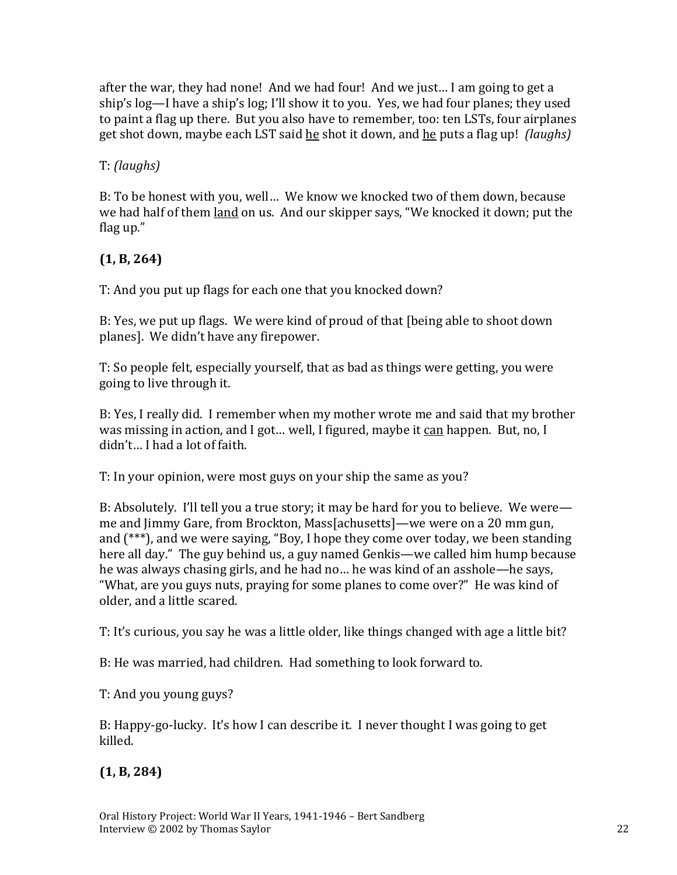after the war, they had none! And we had four! And we just… I am going to get a ship's log—I have a ship's log; I'll show it to you. Yes, we had four planes; they used to paint a flag up there. But you also have to remember, too: ten LSTs, four airplanes get shot down, maybe each LST said he shot it down, and he puts a flag up! *(laughs)*

### T: *(laughs)*

B: To be honest with you, well… We know we knocked two of them down, because we had half of them land on us. And our skipper says, "We knocked it down; put the flag up."

# **(1, B, 264)**

T: And you put up flags for each one that you knocked down?

B: Yes, we put up flags. We were kind of proud of that [being able to shoot down planes]. We didn't have any firepower.

T: So people felt, especially yourself, that as bad as things were getting, you were going to live through it.

B: Yes, I really did. I remember when my mother wrote me and said that my brother was missing in action, and I got… well, I figured, maybe it can happen. But, no, I didn't… I had a lot of faith.

T: In your opinion, were most guys on your ship the same as you?

B: Absolutely. I'll tell you a true story; it may be hard for you to believe. We were me and Jimmy Gare, from Brockton, Mass[achusetts]—we were on a 20 mm gun, and (\*\*\*), and we were saying, "Boy, I hope they come over today, we been standing here all day." The guy behind us, a guy named Genkis—we called him hump because he was always chasing girls, and he had no… he was kind of an asshole—he says, "What, are you guys nuts, praying for some planes to come over?" He was kind of older, and a little scared.

T: It's curious, you say he was a little older, like things changed with age a little bit?

B: He was married, had children. Had something to look forward to.

T: And you young guys?

B: Happy-go-lucky. It's how I can describe it. I never thought I was going to get killed.

## **(1, B, 284)**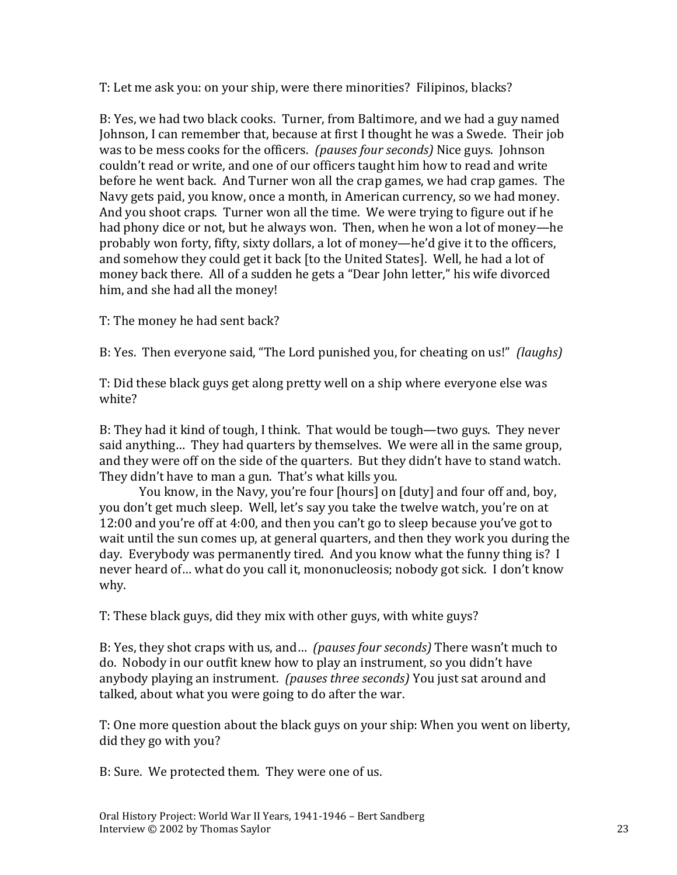T: Let me ask you: on your ship, were there minorities? Filipinos, blacks?

B: Yes, we had two black cooks. Turner, from Baltimore, and we had a guy named Johnson, I can remember that, because at first I thought he was a Swede. Their job was to be mess cooks for the officers. *(pauses four seconds)* Nice guys. Johnson couldn't read or write, and one of our officers taught him how to read and write before he went back. And Turner won all the crap games, we had crap games. The Navy gets paid, you know, once a month, in American currency, so we had money. And you shoot craps. Turner won all the time. We were trying to figure out if he had phony dice or not, but he always won. Then, when he won a lot of money—he probably won forty, fifty, sixty dollars, a lot of money—he'd give it to the officers, and somehow they could get it back [to the United States]. Well, he had a lot of money back there. All of a sudden he gets a "Dear John letter," his wife divorced him, and she had all the money!

T: The money he had sent back?

B: Yes. Then everyone said, "The Lord punished you, for cheating on us!" *(laughs)*

T: Did these black guys get along pretty well on a ship where everyone else was white?

B: They had it kind of tough, I think. That would be tough—two guys. They never said anything… They had quarters by themselves. We were all in the same group, and they were off on the side of the quarters. But they didn't have to stand watch. They didn't have to man a gun. That's what kills you.

You know, in the Navy, you're four [hours] on [duty] and four off and, boy, you don't get much sleep. Well, let's say you take the twelve watch, you're on at 12:00 and you're off at 4:00, and then you can't go to sleep because you've got to wait until the sun comes up, at general quarters, and then they work you during the day. Everybody was permanently tired. And you know what the funny thing is? I never heard of… what do you call it, mononucleosis; nobody got sick. I don't know why.

T: These black guys, did they mix with other guys, with white guys?

B: Yes, they shot craps with us, and… *(pauses four seconds)* There wasn't much to do. Nobody in our outfit knew how to play an instrument, so you didn't have anybody playing an instrument. *(pauses three seconds)* You just sat around and talked, about what you were going to do after the war.

T: One more question about the black guys on your ship: When you went on liberty, did they go with you?

B: Sure. We protected them. They were one of us.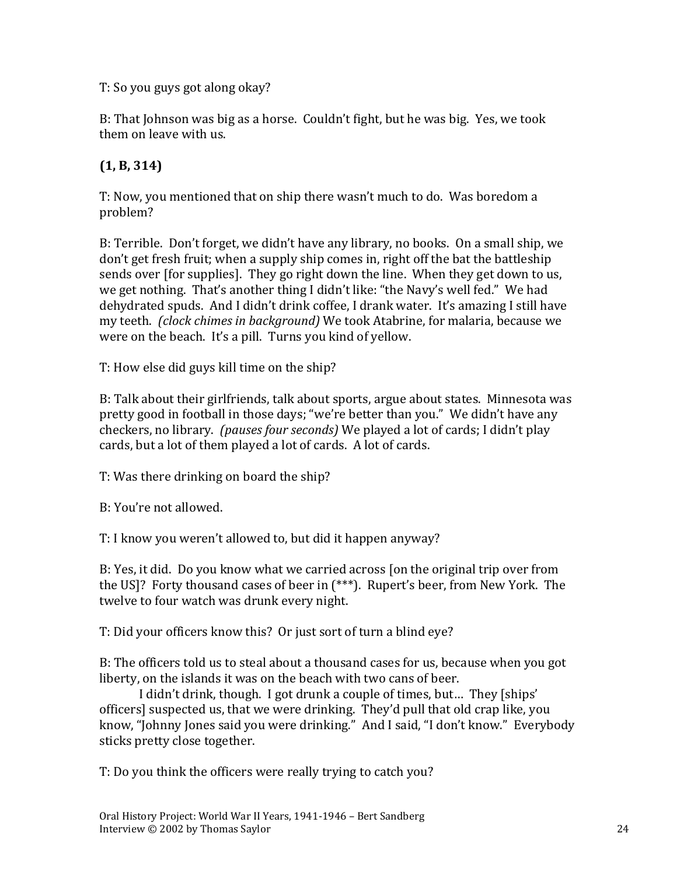T: So you guys got along okay?

B: That Johnson was big as a horse. Couldn't fight, but he was big. Yes, we took them on leave with us.

## **(1, B, 314)**

T: Now, you mentioned that on ship there wasn't much to do. Was boredom a problem?

B: Terrible. Don't forget, we didn't have any library, no books. On a small ship, we don't get fresh fruit; when a supply ship comes in, right off the bat the battleship sends over [for supplies]. They go right down the line. When they get down to us, we get nothing. That's another thing I didn't like: "the Navy's well fed." We had dehydrated spuds. And I didn't drink coffee, I drank water. It's amazing I still have my teeth. *(clock chimes in background)* We took Atabrine, for malaria, because we were on the beach. It's a pill. Turns you kind of yellow.

T: How else did guys kill time on the ship?

B: Talk about their girlfriends, talk about sports, argue about states. Minnesota was pretty good in football in those days; "we're better than you." We didn't have any checkers, no library. *(pauses four seconds)* We played a lot of cards; I didn't play cards, but a lot of them played a lot of cards. A lot of cards.

T: Was there drinking on board the ship?

B: You're not allowed.

T: I know you weren't allowed to, but did it happen anyway?

B: Yes, it did. Do you know what we carried across [on the original trip over from the US]? Forty thousand cases of beer in (\*\*\*). Rupert's beer, from New York. The twelve to four watch was drunk every night.

T: Did your officers know this? Or just sort of turn a blind eye?

B: The officers told us to steal about a thousand cases for us, because when you got liberty, on the islands it was on the beach with two cans of beer.

I didn't drink, though. I got drunk a couple of times, but… They [ships' officers] suspected us, that we were drinking. They'd pull that old crap like, you know, "Johnny Jones said you were drinking." And I said, "I don't know." Everybody sticks pretty close together.

T: Do you think the officers were really trying to catch you?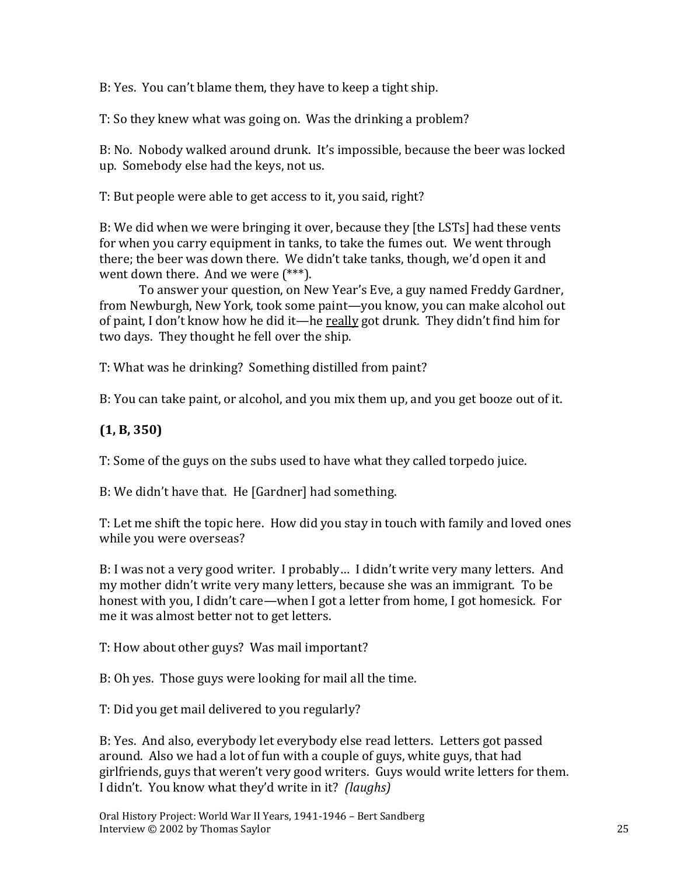B: Yes. You can't blame them, they have to keep a tight ship.

T: So they knew what was going on. Was the drinking a problem?

B: No. Nobody walked around drunk. It's impossible, because the beer was locked up. Somebody else had the keys, not us.

T: But people were able to get access to it, you said, right?

B: We did when we were bringing it over, because they [the LSTs] had these vents for when you carry equipment in tanks, to take the fumes out. We went through there; the beer was down there. We didn't take tanks, though, we'd open it and went down there. And we were (\*\*\*).

To answer your question, on New Year's Eve, a guy named Freddy Gardner, from Newburgh, New York, took some paint—you know, you can make alcohol out of paint, I don't know how he did it—he really got drunk. They didn't find him for two days. They thought he fell over the ship.

T: What was he drinking? Something distilled from paint?

B: You can take paint, or alcohol, and you mix them up, and you get booze out of it.

## **(1, B, 350)**

T: Some of the guys on the subs used to have what they called torpedo juice.

B: We didn't have that. He [Gardner] had something.

T: Let me shift the topic here. How did you stay in touch with family and loved ones while you were overseas?

B: I was not a very good writer. I probably… I didn't write very many letters. And my mother didn't write very many letters, because she was an immigrant. To be honest with you, I didn't care—when I got a letter from home, I got homesick. For me it was almost better not to get letters.

T: How about other guys? Was mail important?

B: Oh yes. Those guys were looking for mail all the time.

T: Did you get mail delivered to you regularly?

B: Yes. And also, everybody let everybody else read letters. Letters got passed around. Also we had a lot of fun with a couple of guys, white guys, that had girlfriends, guys that weren't very good writers. Guys would write letters for them. I didn't. You know what they'd write in it? *(laughs)*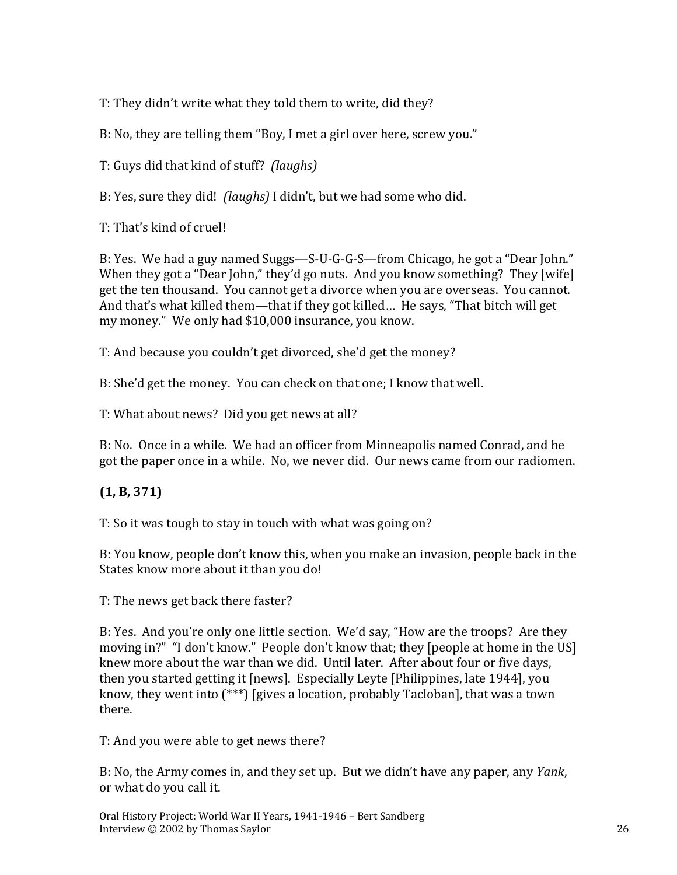T: They didn't write what they told them to write, did they?

B: No, they are telling them "Boy, I met a girl over here, screw you."

T: Guys did that kind of stuff? *(laughs)*

B: Yes, sure they did! *(laughs)* I didn't, but we had some who did.

T: That's kind of cruel!

B: Yes. We had a guy named Suggs—S-U-G-G-S—from Chicago, he got a "Dear John." When they got a "Dear John," they'd go nuts. And you know something? They [wife] get the ten thousand. You cannot get a divorce when you are overseas. You cannot. And that's what killed them—that if they got killed… He says, "That bitch will get my money." We only had \$10,000 insurance, you know.

T: And because you couldn't get divorced, she'd get the money?

B: She'd get the money. You can check on that one; I know that well.

T: What about news? Did you get news at all?

B: No. Once in a while. We had an officer from Minneapolis named Conrad, and he got the paper once in a while. No, we never did. Our news came from our radiomen.

## **(1, B, 371)**

T: So it was tough to stay in touch with what was going on?

B: You know, people don't know this, when you make an invasion, people back in the States know more about it than you do!

T: The news get back there faster?

B: Yes. And you're only one little section. We'd say, "How are the troops? Are they moving in?" "I don't know." People don't know that; they [people at home in the US] knew more about the war than we did. Until later. After about four or five days, then you started getting it [news]. Especially Leyte [Philippines, late 1944], you know, they went into (\*\*\*) [gives a location, probably Tacloban], that was a town there.

T: And you were able to get news there?

B: No, the Army comes in, and they set up. But we didn't have any paper, any *Yank*, or what do you call it.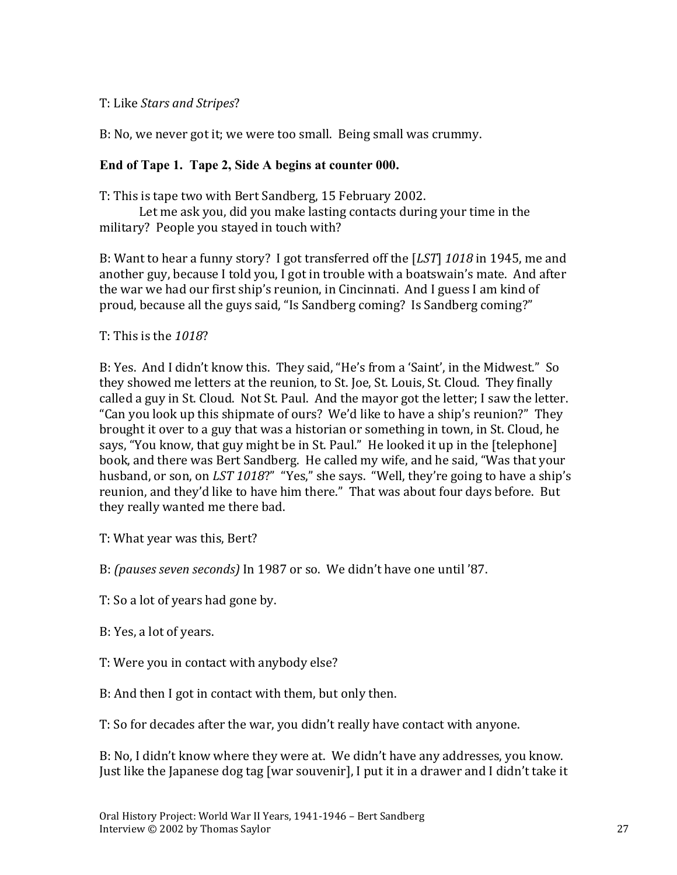#### T: Like *Stars and Stripes*?

B: No, we never got it; we were too small. Being small was crummy.

#### **End of Tape 1. Tape 2, Side A begins at counter 000.**

T: This is tape two with Bert Sandberg, 15 February 2002.

Let me ask you, did you make lasting contacts during your time in the military? People you stayed in touch with?

B: Want to hear a funny story? I got transferred off the [*LST*] *1018* in 1945, me and another guy, because I told you, I got in trouble with a boatswain's mate. And after the war we had our first ship's reunion, in Cincinnati. And I guess I am kind of proud, because all the guys said, "Is Sandberg coming? Is Sandberg coming?"

#### T: This is the *1018*?

B: Yes. And I didn't know this. They said, "He's from a 'Saint', in the Midwest." So they showed me letters at the reunion, to St. Joe, St. Louis, St. Cloud. They finally called a guy in St. Cloud. Not St. Paul. And the mayor got the letter; I saw the letter. "Can you look up this shipmate of ours? We'd like to have a ship's reunion?" They brought it over to a guy that was a historian or something in town, in St. Cloud, he says, "You know, that guy might be in St. Paul." He looked it up in the [telephone] book, and there was Bert Sandberg. He called my wife, and he said, "Was that your husband, or son, on *LST 1018*?" "Yes," she says. "Well, they're going to have a ship's reunion, and they'd like to have him there." That was about four days before. But they really wanted me there bad.

T: What year was this, Bert?

B: *(pauses seven seconds)* In 1987 or so. We didn't have one until '87.

- T: So a lot of years had gone by.
- B: Yes, a lot of years.
- T: Were you in contact with anybody else?
- B: And then I got in contact with them, but only then.

T: So for decades after the war, you didn't really have contact with anyone.

B: No, I didn't know where they were at. We didn't have any addresses, you know. Just like the Japanese dog tag [war souvenir], I put it in a drawer and I didn't take it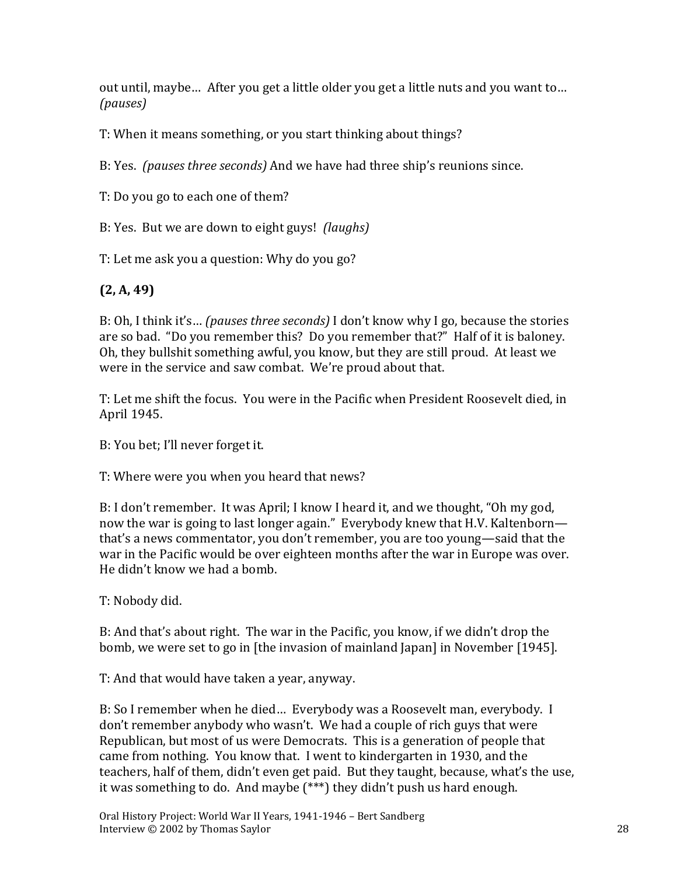out until, maybe… After you get a little older you get a little nuts and you want to… *(pauses)*

T: When it means something, or you start thinking about things?

B: Yes. *(pauses three seconds)* And we have had three ship's reunions since.

T: Do you go to each one of them?

B: Yes. But we are down to eight guys! *(laughs)*

T: Let me ask you a question: Why do you go?

# **(2, A, 49)**

B: Oh, I think it's… *(pauses three seconds)* I don't know why I go, because the stories are so bad. "Do you remember this? Do you remember that?" Half of it is baloney. Oh, they bullshit something awful, you know, but they are still proud. At least we were in the service and saw combat. We're proud about that.

T: Let me shift the focus. You were in the Pacific when President Roosevelt died, in April 1945.

B: You bet; I'll never forget it.

T: Where were you when you heard that news?

B: I don't remember. It was April; I know I heard it, and we thought, "Oh my god, now the war is going to last longer again." Everybody knew that H.V. Kaltenborn that's a news commentator, you don't remember, you are too young—said that the war in the Pacific would be over eighteen months after the war in Europe was over. He didn't know we had a bomb.

T: Nobody did.

B: And that's about right. The war in the Pacific, you know, if we didn't drop the bomb, we were set to go in [the invasion of mainland Japan] in November [1945].

T: And that would have taken a year, anyway.

B: So I remember when he died… Everybody was a Roosevelt man, everybody. I don't remember anybody who wasn't. We had a couple of rich guys that were Republican, but most of us were Democrats. This is a generation of people that came from nothing. You know that. I went to kindergarten in 1930, and the teachers, half of them, didn't even get paid. But they taught, because, what's the use, it was something to do. And maybe (\*\*\*) they didn't push us hard enough.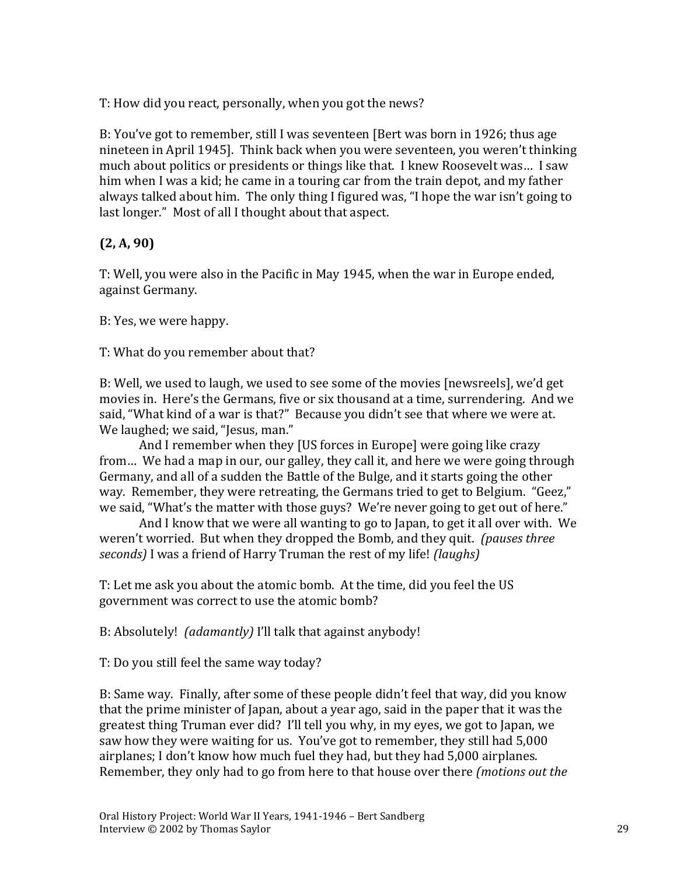T: How did you react, personally, when you got the news?

B: You've got to remember, still I was seventeen [Bert was born in 1926; thus age nineteen in April 1945]. Think back when you were seventeen, you weren't thinking much about politics or presidents or things like that. I knew Roosevelt was… I saw him when I was a kid; he came in a touring car from the train depot, and my father always talked about him. The only thing I figured was, "I hope the war isn't going to last longer." Most of all I thought about that aspect.

## **(2, A, 90)**

T: Well, you were also in the Pacific in May 1945, when the war in Europe ended, against Germany.

B: Yes, we were happy.

T: What do you remember about that?

B: Well, we used to laugh, we used to see some of the movies [newsreels], we'd get movies in. Here's the Germans, five or six thousand at a time, surrendering. And we said, "What kind of a war is that?" Because you didn't see that where we were at. We laughed; we said, "Jesus, man."

And I remember when they [US forces in Europe] were going like crazy from… We had a map in our, our galley, they call it, and here we were going through Germany, and all of a sudden the Battle of the Bulge, and it starts going the other way. Remember, they were retreating, the Germans tried to get to Belgium. "Geez," we said, "What's the matter with those guys? We're never going to get out of here."

And I know that we were all wanting to go to Japan, to get it all over with. We weren't worried. But when they dropped the Bomb, and they quit. *(pauses three seconds)* I was a friend of Harry Truman the rest of my life! *(laughs)*

T: Let me ask you about the atomic bomb. At the time, did you feel the US government was correct to use the atomic bomb?

B: Absolutely! *(adamantly)* I'll talk that against anybody!

T: Do you still feel the same way today?

B: Same way. Finally, after some of these people didn't feel that way, did you know that the prime minister of Japan, about a year ago, said in the paper that it was the greatest thing Truman ever did? I'll tell you why, in my eyes, we got to Japan, we saw how they were waiting for us. You've got to remember, they still had 5,000 airplanes; I don't know how much fuel they had, but they had 5,000 airplanes. Remember, they only had to go from here to that house over there *(motions out the*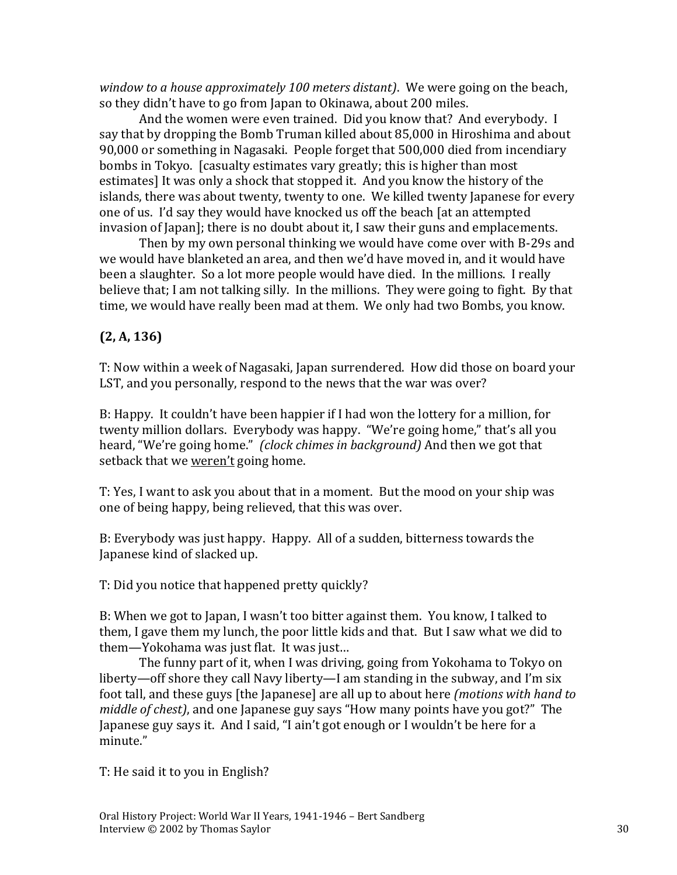*window to a house approximately 100 meters distant)*. We were going on the beach, so they didn't have to go from Japan to Okinawa, about 200 miles.

And the women were even trained. Did you know that? And everybody. I say that by dropping the Bomb Truman killed about 85,000 in Hiroshima and about 90,000 or something in Nagasaki. People forget that 500,000 died from incendiary bombs in Tokyo. [casualty estimates vary greatly; this is higher than most estimates] It was only a shock that stopped it. And you know the history of the islands, there was about twenty, twenty to one. We killed twenty Japanese for every one of us. I'd say they would have knocked us off the beach [at an attempted invasion of Japan]; there is no doubt about it, I saw their guns and emplacements.

Then by my own personal thinking we would have come over with B-29s and we would have blanketed an area, and then we'd have moved in, and it would have been a slaughter. So a lot more people would have died. In the millions. I really believe that; I am not talking silly. In the millions. They were going to fight. By that time, we would have really been mad at them. We only had two Bombs, you know.

## **(2, A, 136)**

T: Now within a week of Nagasaki, Japan surrendered. How did those on board your LST, and you personally, respond to the news that the war was over?

B: Happy. It couldn't have been happier if I had won the lottery for a million, for twenty million dollars. Everybody was happy. "We're going home," that's all you heard, "We're going home." *(clock chimes in background)* And then we got that setback that we weren't going home.

T: Yes, I want to ask you about that in a moment. But the mood on your ship was one of being happy, being relieved, that this was over.

B: Everybody was just happy. Happy. All of a sudden, bitterness towards the Japanese kind of slacked up.

T: Did you notice that happened pretty quickly?

B: When we got to Japan, I wasn't too bitter against them. You know, I talked to them, I gave them my lunch, the poor little kids and that. But I saw what we did to them—Yokohama was just flat. It was just…

The funny part of it, when I was driving, going from Yokohama to Tokyo on liberty—off shore they call Navy liberty—I am standing in the subway, and I'm six foot tall, and these guys [the Japanese] are all up to about here *(motions with hand to middle of chest)*, and one Japanese guy says "How many points have you got?" The Japanese guy says it. And I said, "I ain't got enough or I wouldn't be here for a minute."

T: He said it to you in English?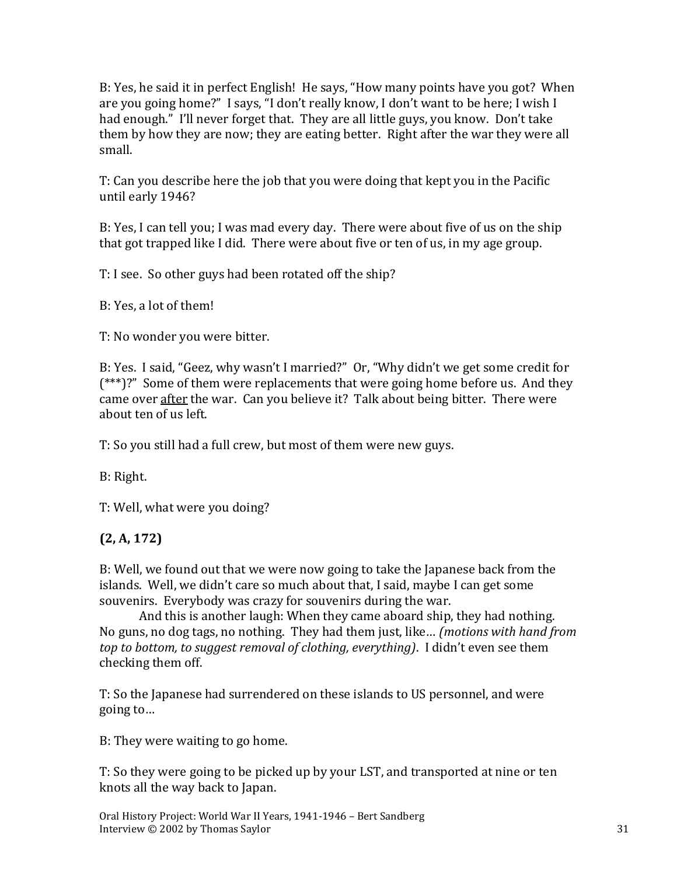B: Yes, he said it in perfect English! He says, "How many points have you got? When are you going home?" I says, "I don't really know, I don't want to be here; I wish I had enough." I'll never forget that. They are all little guys, you know. Don't take them by how they are now; they are eating better. Right after the war they were all small.

T: Can you describe here the job that you were doing that kept you in the Pacific until early 1946?

B: Yes, I can tell you; I was mad every day. There were about five of us on the ship that got trapped like I did. There were about five or ten of us, in my age group.

T: I see. So other guys had been rotated off the ship?

B: Yes, a lot of them!

T: No wonder you were bitter.

B: Yes. I said, "Geez, why wasn't I married?" Or, "Why didn't we get some credit for (\*\*\*)?" Some of them were replacements that were going home before us. And they came over after the war. Can you believe it? Talk about being bitter. There were about ten of us left.

T: So you still had a full crew, but most of them were new guys.

B: Right.

T: Well, what were you doing?

### **(2, A, 172)**

B: Well, we found out that we were now going to take the Japanese back from the islands. Well, we didn't care so much about that, I said, maybe I can get some souvenirs. Everybody was crazy for souvenirs during the war.

And this is another laugh: When they came aboard ship, they had nothing. No guns, no dog tags, no nothing. They had them just, like… *(motions with hand from top to bottom, to suggest removal of clothing, everything)*. I didn't even see them checking them off.

T: So the Japanese had surrendered on these islands to US personnel, and were going to…

B: They were waiting to go home.

T: So they were going to be picked up by your LST, and transported at nine or ten knots all the way back to Japan.

Oral History Project: World War II Years, 1941-1946 – Bert Sandberg Interview © 2002 by Thomas Saylor 31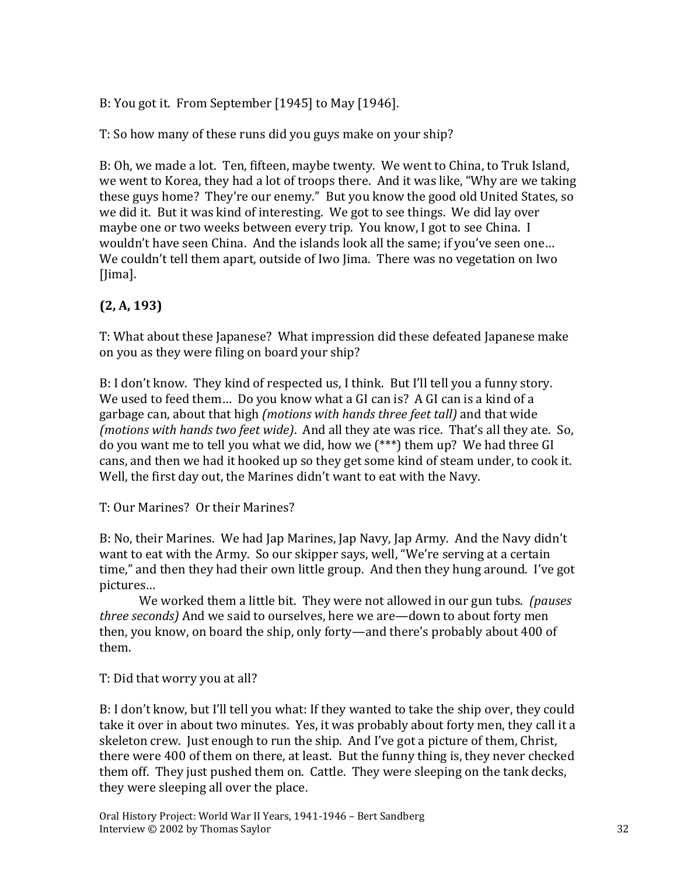B: You got it. From September [1945] to May [1946].

T: So how many of these runs did you guys make on your ship?

B: Oh, we made a lot. Ten, fifteen, maybe twenty. We went to China, to Truk Island, we went to Korea, they had a lot of troops there. And it was like, "Why are we taking these guys home? They're our enemy." But you know the good old United States, so we did it. But it was kind of interesting. We got to see things. We did lay over maybe one or two weeks between every trip. You know, I got to see China. I wouldn't have seen China. And the islands look all the same; if you've seen one… We couldn't tell them apart, outside of Iwo Jima. There was no vegetation on Iwo [Jima].

# **(2, A, 193)**

T: What about these Japanese? What impression did these defeated Japanese make on you as they were filing on board your ship?

B: I don't know. They kind of respected us, I think. But I'll tell you a funny story. We used to feed them… Do you know what a GI can is? A GI can is a kind of a garbage can, about that high *(motions with hands three feet tall)* and that wide *(motions with hands two feet wide)*. And all they ate was rice. That's all they ate. So, do you want me to tell you what we did, how we (\*\*\*) them up? We had three GI cans, and then we had it hooked up so they get some kind of steam under, to cook it. Well, the first day out, the Marines didn't want to eat with the Navy.

T: Our Marines? Or their Marines?

B: No, their Marines. We had Jap Marines, Jap Navy, Jap Army. And the Navy didn't want to eat with the Army. So our skipper says, well, "We're serving at a certain time," and then they had their own little group. And then they hung around. I've got pictures…

We worked them a little bit. They were not allowed in our gun tubs. *(pauses three seconds)* And we said to ourselves, here we are—down to about forty men then, you know, on board the ship, only forty—and there's probably about 400 of them.

T: Did that worry you at all?

B: I don't know, but I'll tell you what: If they wanted to take the ship over, they could take it over in about two minutes. Yes, it was probably about forty men, they call it a skeleton crew. Just enough to run the ship. And I've got a picture of them, Christ, there were 400 of them on there, at least. But the funny thing is, they never checked them off. They just pushed them on. Cattle. They were sleeping on the tank decks, they were sleeping all over the place.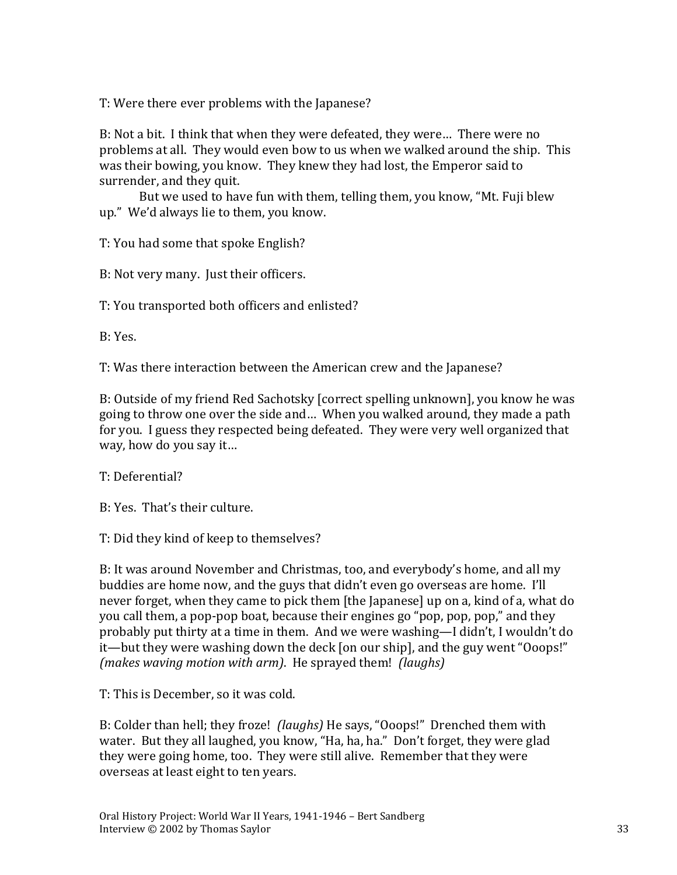T: Were there ever problems with the Japanese?

B: Not a bit. I think that when they were defeated, they were… There were no problems at all. They would even bow to us when we walked around the ship. This was their bowing, you know. They knew they had lost, the Emperor said to surrender, and they quit.

But we used to have fun with them, telling them, you know, "Mt. Fuji blew up." We'd always lie to them, you know.

T: You had some that spoke English?

B: Not very many. Just their officers.

T: You transported both officers and enlisted?

B: Yes.

T: Was there interaction between the American crew and the Japanese?

B: Outside of my friend Red Sachotsky [correct spelling unknown], you know he was going to throw one over the side and… When you walked around, they made a path for you. I guess they respected being defeated. They were very well organized that way, how do you say it…

T: Deferential?

B: Yes. That's their culture.

T: Did they kind of keep to themselves?

B: It was around November and Christmas, too, and everybody's home, and all my buddies are home now, and the guys that didn't even go overseas are home. I'll never forget, when they came to pick them [the Japanese] up on a, kind of a, what do you call them, a pop-pop boat, because their engines go "pop, pop, pop," and they probably put thirty at a time in them. And we were washing—I didn't, I wouldn't do it—but they were washing down the deck [on our ship], and the guy went "Ooops!" *(makes waving motion with arm)*. He sprayed them! *(laughs)*

T: This is December, so it was cold.

B: Colder than hell; they froze! *(laughs)* He says, "Ooops!" Drenched them with water. But they all laughed, you know, "Ha, ha, ha." Don't forget, they were glad they were going home, too. They were still alive. Remember that they were overseas at least eight to ten years.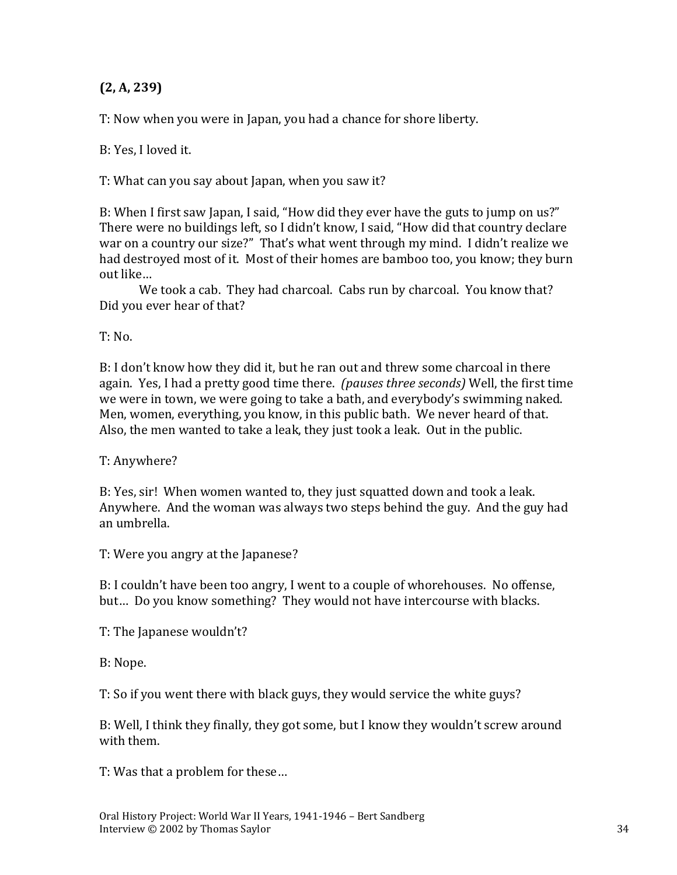## **(2, A, 239)**

T: Now when you were in Japan, you had a chance for shore liberty.

B: Yes, I loved it.

T: What can you say about Japan, when you saw it?

B: When I first saw Japan, I said, "How did they ever have the guts to jump on us?" There were no buildings left, so I didn't know, I said, "How did that country declare war on a country our size?" That's what went through my mind. I didn't realize we had destroyed most of it. Most of their homes are bamboo too, you know; they burn out like…

We took a cab. They had charcoal. Cabs run by charcoal. You know that? Did you ever hear of that?

 $T: No.$ 

B: I don't know how they did it, but he ran out and threw some charcoal in there again. Yes, I had a pretty good time there. *(pauses three seconds)* Well, the first time we were in town, we were going to take a bath, and everybody's swimming naked. Men, women, everything, you know, in this public bath. We never heard of that. Also, the men wanted to take a leak, they just took a leak. Out in the public.

T: Anywhere?

B: Yes, sir! When women wanted to, they just squatted down and took a leak. Anywhere. And the woman was always two steps behind the guy. And the guy had an umbrella.

T: Were you angry at the Japanese?

B: I couldn't have been too angry, I went to a couple of whorehouses. No offense, but… Do you know something? They would not have intercourse with blacks.

T: The Japanese wouldn't?

B: Nope.

T: So if you went there with black guys, they would service the white guys?

B: Well, I think they finally, they got some, but I know they wouldn't screw around with them.

T: Was that a problem for these…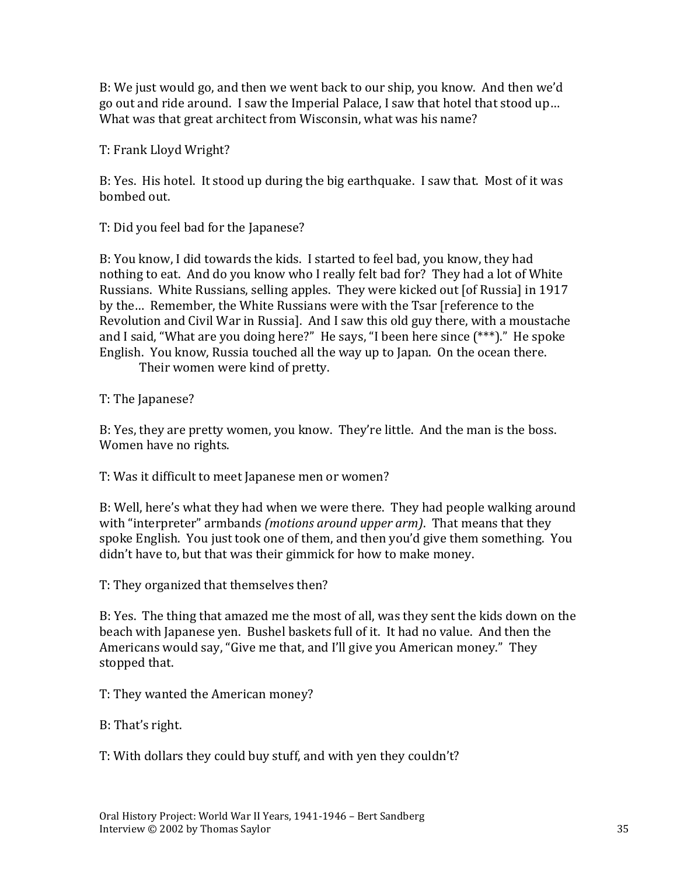B: We just would go, and then we went back to our ship, you know. And then we'd go out and ride around. I saw the Imperial Palace, I saw that hotel that stood up… What was that great architect from Wisconsin, what was his name?

T: Frank Lloyd Wright?

B: Yes. His hotel. It stood up during the big earthquake. I saw that. Most of it was bombed out.

T: Did you feel bad for the Japanese?

B: You know, I did towards the kids. I started to feel bad, you know, they had nothing to eat. And do you know who I really felt bad for? They had a lot of White Russians. White Russians, selling apples. They were kicked out [of Russia] in 1917 by the… Remember, the White Russians were with the Tsar [reference to the Revolution and Civil War in Russia]. And I saw this old guy there, with a moustache and I said, "What are you doing here?" He says, "I been here since (\*\*\*)." He spoke English. You know, Russia touched all the way up to Japan. On the ocean there.

Their women were kind of pretty.

T: The Japanese?

B: Yes, they are pretty women, you know. They're little. And the man is the boss. Women have no rights.

T: Was it difficult to meet Japanese men or women?

B: Well, here's what they had when we were there. They had people walking around with "interpreter" armbands *(motions around upper arm)*. That means that they spoke English. You just took one of them, and then you'd give them something. You didn't have to, but that was their gimmick for how to make money.

T: They organized that themselves then?

B: Yes. The thing that amazed me the most of all, was they sent the kids down on the beach with Japanese yen. Bushel baskets full of it. It had no value. And then the Americans would say, "Give me that, and I'll give you American money." They stopped that.

T: They wanted the American money?

B: That's right.

T: With dollars they could buy stuff, and with yen they couldn't?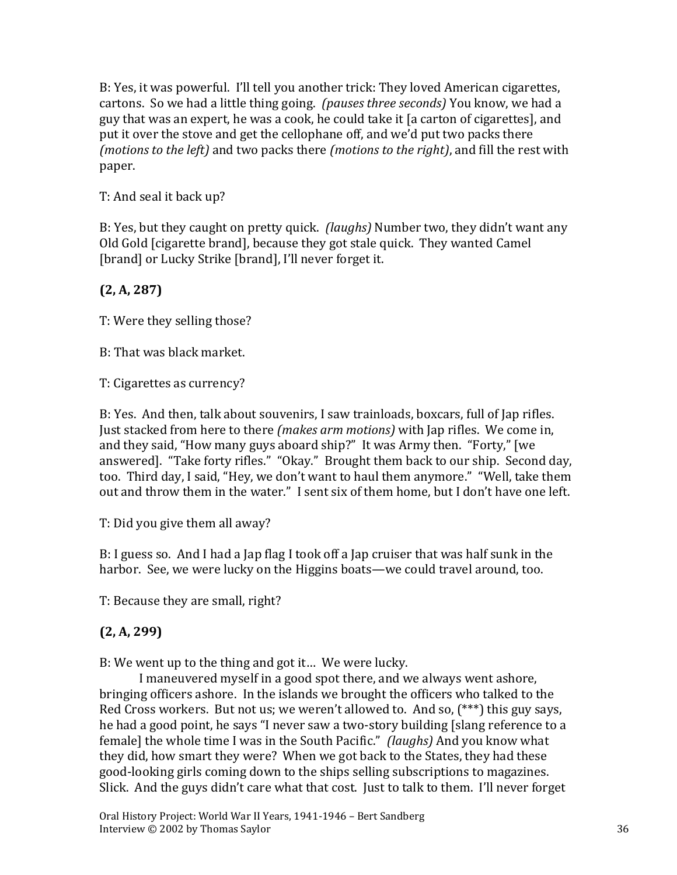B: Yes, it was powerful. I'll tell you another trick: They loved American cigarettes, cartons. So we had a little thing going. *(pauses three seconds)* You know, we had a guy that was an expert, he was a cook, he could take it [a carton of cigarettes], and put it over the stove and get the cellophane off, and we'd put two packs there *(motions to the left)* and two packs there *(motions to the right)*, and fill the rest with paper.

T: And seal it back up?

B: Yes, but they caught on pretty quick. *(laughs)* Number two, they didn't want any Old Gold [cigarette brand], because they got stale quick. They wanted Camel [brand] or Lucky Strike [brand], I'll never forget it.

## **(2, A, 287)**

T: Were they selling those?

B: That was black market.

T: Cigarettes as currency?

B: Yes. And then, talk about souvenirs, I saw trainloads, boxcars, full of Jap rifles. Just stacked from here to there *(makes arm motions)* with Jap rifles. We come in, and they said, "How many guys aboard ship?" It was Army then. "Forty," [we answered]. "Take forty rifles." "Okay." Brought them back to our ship. Second day, too. Third day, I said, "Hey, we don't want to haul them anymore." "Well, take them out and throw them in the water." I sent six of them home, but I don't have one left.

T: Did you give them all away?

B: I guess so. And I had a Jap flag I took off a Jap cruiser that was half sunk in the harbor. See, we were lucky on the Higgins boats—we could travel around, too.

T: Because they are small, right?

### **(2, A, 299)**

B: We went up to the thing and got it… We were lucky.

I maneuvered myself in a good spot there, and we always went ashore, bringing officers ashore. In the islands we brought the officers who talked to the Red Cross workers. But not us; we weren't allowed to. And so, (\*\*\*) this guy says, he had a good point, he says "I never saw a two-story building [slang reference to a female] the whole time I was in the South Pacific." *(laughs)* And you know what they did, how smart they were? When we got back to the States, they had these good-looking girls coming down to the ships selling subscriptions to magazines. Slick. And the guys didn't care what that cost. Just to talk to them. I'll never forget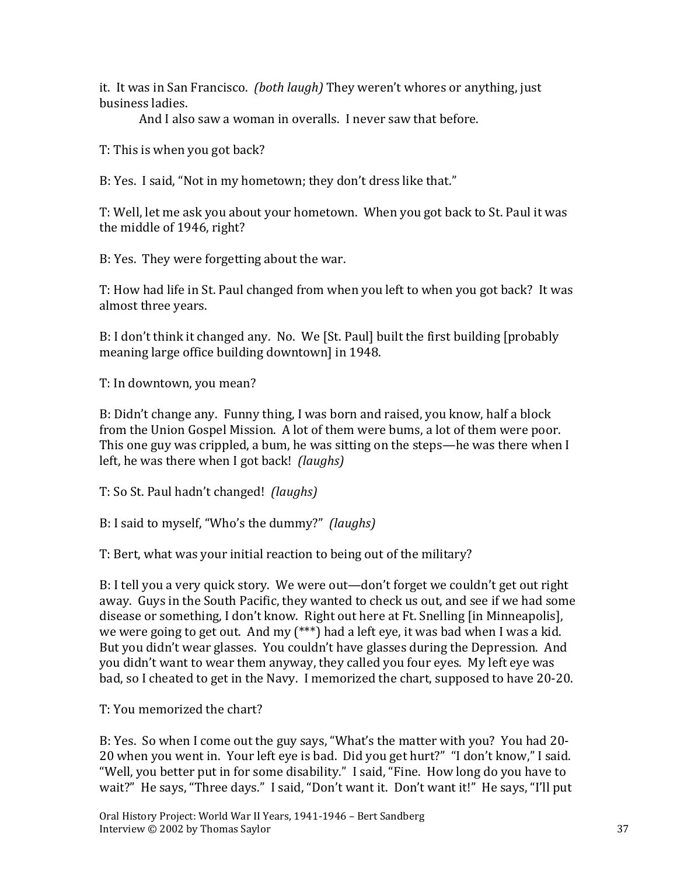it. It was in San Francisco. *(both laugh)* They weren't whores or anything, just business ladies.

And I also saw a woman in overalls. I never saw that before.

T: This is when you got back?

B: Yes. I said, "Not in my hometown; they don't dress like that."

T: Well, let me ask you about your hometown. When you got back to St. Paul it was the middle of 1946, right?

B: Yes. They were forgetting about the war.

T: How had life in St. Paul changed from when you left to when you got back? It was almost three years.

B: I don't think it changed any. No. We [St. Paul] built the first building [probably meaning large office building downtown] in 1948.

T: In downtown, you mean?

B: Didn't change any. Funny thing, I was born and raised, you know, half a block from the Union Gospel Mission. A lot of them were bums, a lot of them were poor. This one guy was crippled, a bum, he was sitting on the steps—he was there when I left, he was there when I got back! *(laughs)*

T: So St. Paul hadn't changed! *(laughs)*

B: I said to myself, "Who's the dummy?" *(laughs)*

T: Bert, what was your initial reaction to being out of the military?

B: I tell you a very quick story. We were out—don't forget we couldn't get out right away. Guys in the South Pacific, they wanted to check us out, and see if we had some disease or something, I don't know. Right out here at Ft. Snelling [in Minneapolis], we were going to get out. And my (\*\*\*) had a left eye, it was bad when I was a kid. But you didn't wear glasses. You couldn't have glasses during the Depression. And you didn't want to wear them anyway, they called you four eyes. My left eye was bad, so I cheated to get in the Navy. I memorized the chart, supposed to have 20-20.

T: You memorized the chart?

B: Yes. So when I come out the guy says, "What's the matter with you? You had 20- 20 when you went in. Your left eye is bad. Did you get hurt?" "I don't know," I said. "Well, you better put in for some disability." I said, "Fine. How long do you have to wait?" He says, "Three days." I said, "Don't want it. Don't want it!" He says, "I'll put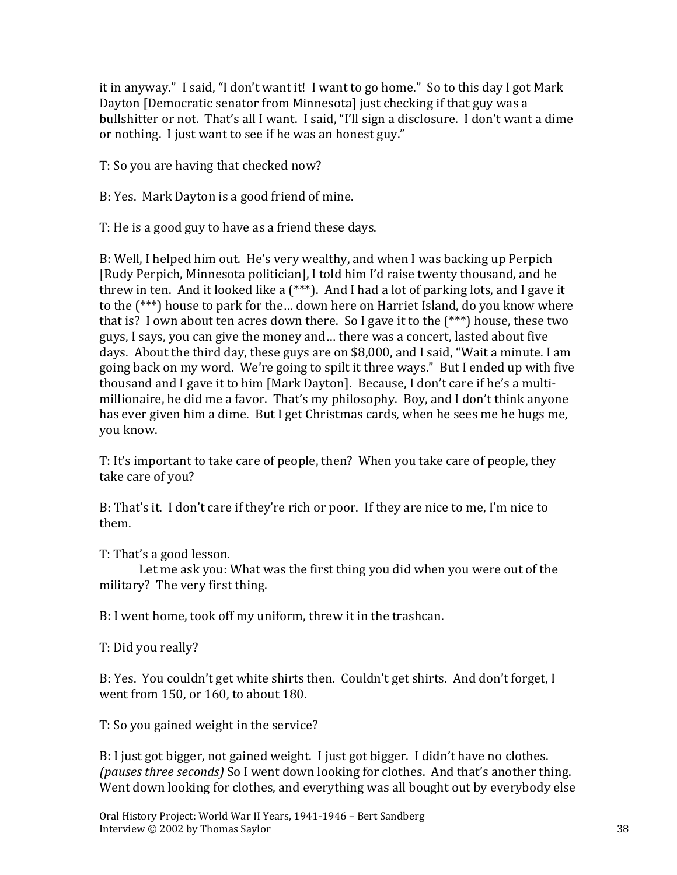it in anyway." I said, "I don't want it! I want to go home." So to this day I got Mark Dayton [Democratic senator from Minnesota] just checking if that guy was a bullshitter or not. That's all I want. I said, "I'll sign a disclosure. I don't want a dime or nothing. I just want to see if he was an honest guy."

T: So you are having that checked now?

B: Yes. Mark Dayton is a good friend of mine.

T: He is a good guy to have as a friend these days.

B: Well, I helped him out. He's very wealthy, and when I was backing up Perpich [Rudy Perpich, Minnesota politician], I told him I'd raise twenty thousand, and he threw in ten. And it looked like a (\*\*\*). And I had a lot of parking lots, and I gave it to the (\*\*\*) house to park for the… down here on Harriet Island, do you know where that is? I own about ten acres down there. So I gave it to the (\*\*\*) house, these two guys, I says, you can give the money and… there was a concert, lasted about five days. About the third day, these guys are on \$8,000, and I said, "Wait a minute. I am going back on my word. We're going to spilt it three ways." But I ended up with five thousand and I gave it to him [Mark Dayton]. Because, I don't care if he's a multimillionaire, he did me a favor. That's my philosophy. Boy, and I don't think anyone has ever given him a dime. But I get Christmas cards, when he sees me he hugs me, you know.

T: It's important to take care of people, then? When you take care of people, they take care of you?

B: That's it. I don't care if they're rich or poor. If they are nice to me, I'm nice to them.

T: That's a good lesson.

Let me ask you: What was the first thing you did when you were out of the military? The very first thing.

B: I went home, took off my uniform, threw it in the trashcan.

T: Did you really?

B: Yes. You couldn't get white shirts then. Couldn't get shirts. And don't forget, I went from 150, or 160, to about 180.

T: So you gained weight in the service?

B: I just got bigger, not gained weight. I just got bigger. I didn't have no clothes. *(pauses three seconds)* So I went down looking for clothes. And that's another thing. Went down looking for clothes, and everything was all bought out by everybody else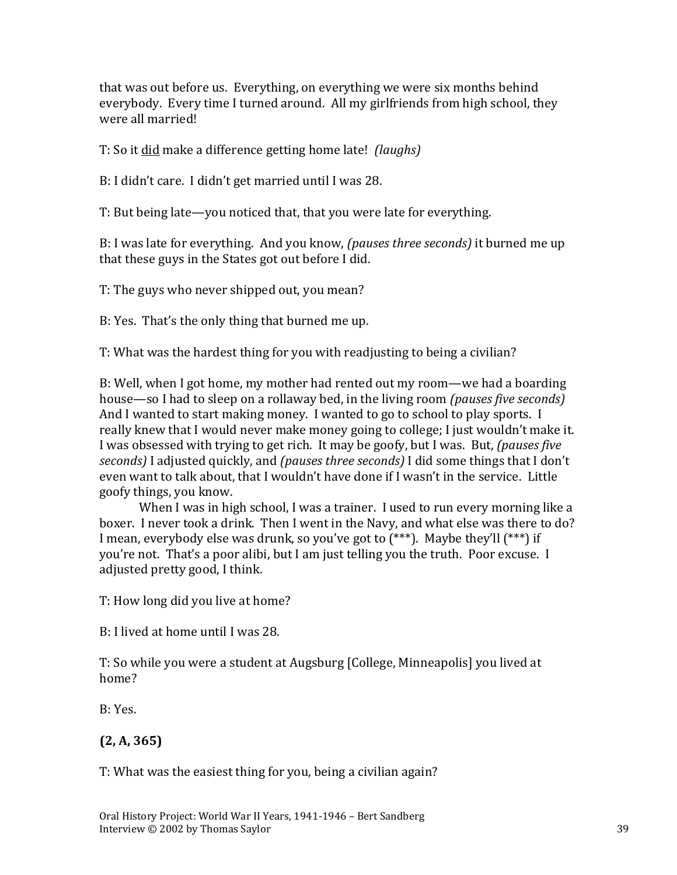that was out before us. Everything, on everything we were six months behind everybody. Every time I turned around. All my girlfriends from high school, they were all married!

T: So it did make a difference getting home late! *(laughs)*

B: I didn't care. I didn't get married until I was 28.

T: But being late—you noticed that, that you were late for everything.

B: I was late for everything. And you know, *(pauses three seconds)* it burned me up that these guys in the States got out before I did.

T: The guys who never shipped out, you mean?

B: Yes. That's the only thing that burned me up.

T: What was the hardest thing for you with readjusting to being a civilian?

B: Well, when I got home, my mother had rented out my room—we had a boarding house—so I had to sleep on a rollaway bed, in the living room *(pauses five seconds)* And I wanted to start making money. I wanted to go to school to play sports. I really knew that I would never make money going to college; I just wouldn't make it. I was obsessed with trying to get rich. It may be goofy, but I was. But, *(pauses five seconds)* I adjusted quickly, and *(pauses three seconds)* I did some things that I don't even want to talk about, that I wouldn't have done if I wasn't in the service. Little goofy things, you know.

When I was in high school, I was a trainer. I used to run every morning like a boxer. I never took a drink. Then I went in the Navy, and what else was there to do? I mean, everybody else was drunk, so you've got to (\*\*\*). Maybe they'll (\*\*\*) if you're not. That's a poor alibi, but I am just telling you the truth. Poor excuse. I adjusted pretty good, I think.

T: How long did you live at home?

B: I lived at home until I was 28.

T: So while you were a student at Augsburg [College, Minneapolis] you lived at home?

B: Yes.

## **(2, A, 365)**

T: What was the easiest thing for you, being a civilian again?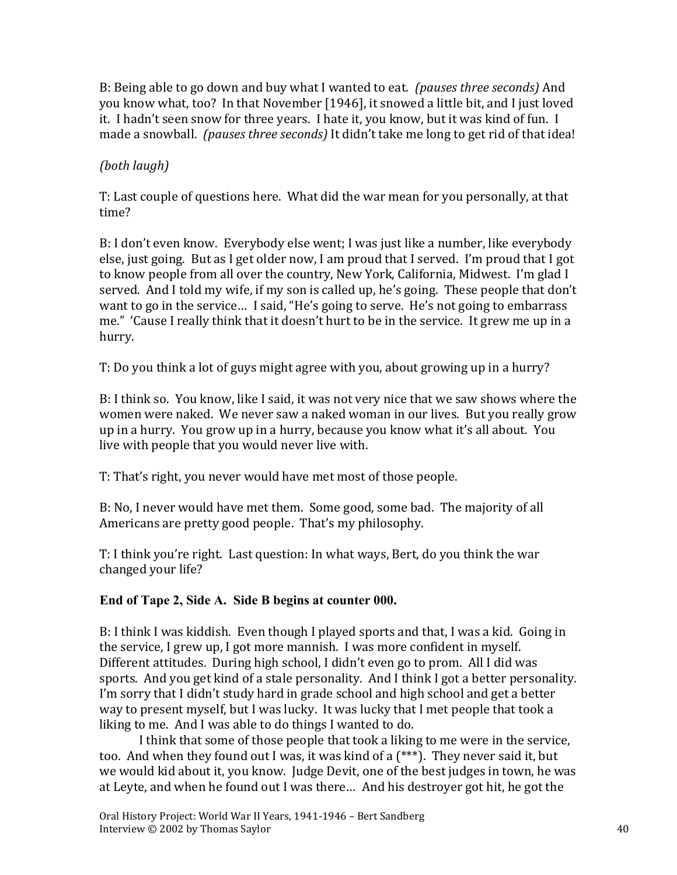B: Being able to go down and buy what I wanted to eat. *(pauses three seconds)* And you know what, too? In that November [1946], it snowed a little bit, and I just loved it. I hadn't seen snow for three years. I hate it, you know, but it was kind of fun. I made a snowball. *(pauses three seconds)* It didn't take me long to get rid of that idea!

#### *(both laugh)*

T: Last couple of questions here. What did the war mean for you personally, at that time?

B: I don't even know. Everybody else went; I was just like a number, like everybody else, just going. But as I get older now, I am proud that I served. I'm proud that I got to know people from all over the country, New York, California, Midwest. I'm glad I served. And I told my wife, if my son is called up, he's going. These people that don't want to go in the service… I said, "He's going to serve. He's not going to embarrass me." 'Cause I really think that it doesn't hurt to be in the service. It grew me up in a hurry.

T: Do you think a lot of guys might agree with you, about growing up in a hurry?

B: I think so. You know, like I said, it was not very nice that we saw shows where the women were naked. We never saw a naked woman in our lives. But you really grow up in a hurry. You grow up in a hurry, because you know what it's all about. You live with people that you would never live with.

T: That's right, you never would have met most of those people.

B: No, I never would have met them. Some good, some bad. The majority of all Americans are pretty good people. That's my philosophy.

T: I think you're right. Last question: In what ways, Bert, do you think the war changed your life?

### **End of Tape 2, Side A. Side B begins at counter 000.**

B: I think I was kiddish. Even though I played sports and that, I was a kid. Going in the service, I grew up, I got more mannish. I was more confident in myself. Different attitudes. During high school, I didn't even go to prom. All I did was sports. And you get kind of a stale personality. And I think I got a better personality. I'm sorry that I didn't study hard in grade school and high school and get a better way to present myself, but I was lucky. It was lucky that I met people that took a liking to me. And I was able to do things I wanted to do.

I think that some of those people that took a liking to me were in the service, too. And when they found out I was, it was kind of a (\*\*\*). They never said it, but we would kid about it, you know. Judge Devit, one of the best judges in town, he was at Leyte, and when he found out I was there… And his destroyer got hit, he got the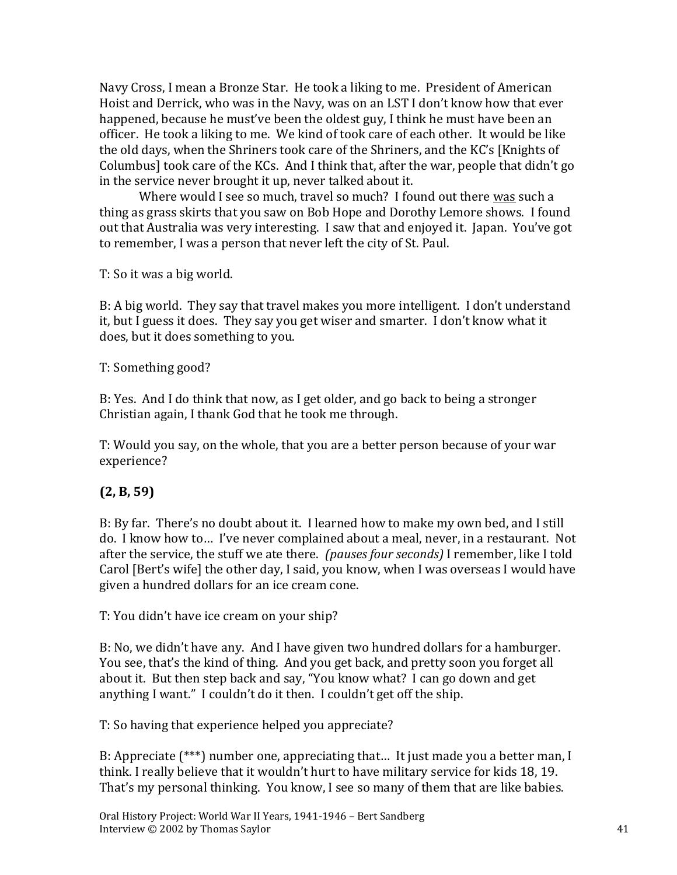Navy Cross, I mean a Bronze Star. He took a liking to me. President of American Hoist and Derrick, who was in the Navy, was on an LST I don't know how that ever happened, because he must've been the oldest guy, I think he must have been an officer. He took a liking to me. We kind of took care of each other. It would be like the old days, when the Shriners took care of the Shriners, and the KC's [Knights of Columbus] took care of the KCs. And I think that, after the war, people that didn't go in the service never brought it up, never talked about it.

Where would I see so much, travel so much? I found out there was such a thing as grass skirts that you saw on Bob Hope and Dorothy Lemore shows. I found out that Australia was very interesting. I saw that and enjoyed it. Japan. You've got to remember, I was a person that never left the city of St. Paul.

T: So it was a big world.

B: A big world. They say that travel makes you more intelligent. I don't understand it, but I guess it does. They say you get wiser and smarter. I don't know what it does, but it does something to you.

T: Something good?

B: Yes. And I do think that now, as I get older, and go back to being a stronger Christian again, I thank God that he took me through.

T: Would you say, on the whole, that you are a better person because of your war experience?

### **(2, B, 59)**

B: By far. There's no doubt about it. I learned how to make my own bed, and I still do. I know how to… I've never complained about a meal, never, in a restaurant. Not after the service, the stuff we ate there. *(pauses four seconds)* I remember, like I told Carol [Bert's wife] the other day, I said, you know, when I was overseas I would have given a hundred dollars for an ice cream cone.

T: You didn't have ice cream on your ship?

B: No, we didn't have any. And I have given two hundred dollars for a hamburger. You see, that's the kind of thing. And you get back, and pretty soon you forget all about it. But then step back and say, "You know what? I can go down and get anything I want." I couldn't do it then. I couldn't get off the ship.

T: So having that experience helped you appreciate?

B: Appreciate (\*\*\*) number one, appreciating that… It just made you a better man, I think. I really believe that it wouldn't hurt to have military service for kids 18, 19. That's my personal thinking. You know, I see so many of them that are like babies.